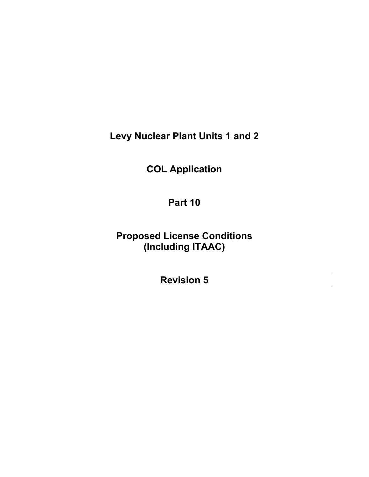**Levy Nuclear Plant Units 1 and 2** 

**COL Application** 

**Part 10** 

**Proposed License Conditions (Including ITAAC)** 

**Revision 5**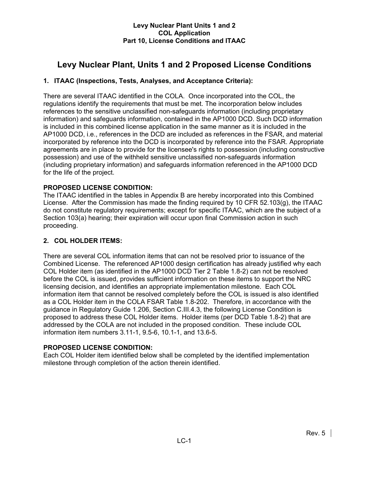# **Levy Nuclear Plant, Units 1 and 2 Proposed License Conditions**

# **1. ITAAC (Inspections, Tests, Analyses, and Acceptance Criteria):**

There are several ITAAC identified in the COLA. Once incorporated into the COL, the regulations identify the requirements that must be met. The incorporation below includes references to the sensitive unclassified non-safeguards information (including proprietary information) and safeguards information, contained in the AP1000 DCD. Such DCD information is included in this combined license application in the same manner as it is included in the AP1000 DCD, i.e., references in the DCD are included as references in the FSAR, and material incorporated by reference into the DCD is incorporated by reference into the FSAR. Appropriate agreements are in place to provide for the licensee's rights to possession (including constructive possession) and use of the withheld sensitive unclassified non-safeguards information (including proprietary information) and safeguards information referenced in the AP1000 DCD for the life of the project.

# **PROPOSED LICENSE CONDITION:**

The ITAAC identified in the tables in Appendix B are hereby incorporated into this Combined License. After the Commission has made the finding required by 10 CFR 52.103(g), the ITAAC do not constitute regulatory requirements; except for specific ITAAC, which are the subject of a Section 103(a) hearing; their expiration will occur upon final Commission action in such proceeding.

# **2. COL HOLDER ITEMS:**

There are several COL information items that can not be resolved prior to issuance of the Combined License. The referenced AP1000 design certification has already justified why each COL Holder item (as identified in the AP1000 DCD Tier 2 Table 1.8-2) can not be resolved before the COL is issued, provides sufficient information on these items to support the NRC licensing decision, and identifies an appropriate implementation milestone. Each COL information item that cannot be resolved completely before the COL is issued is also identified as a COL Holder item in the COLA FSAR Table 1.8-202. Therefore, in accordance with the guidance in Regulatory Guide 1.206, Section C.III.4.3, the following License Condition is proposed to address these COL Holder items. Holder items (per DCD Table 1.8-2) that are addressed by the COLA are not included in the proposed condition. These include COL information item numbers 3.11-1, 9.5-6, 10.1-1, and 13.6-5.

# **PROPOSED LICENSE CONDITION:**

Each COL Holder item identified below shall be completed by the identified implementation milestone through completion of the action therein identified.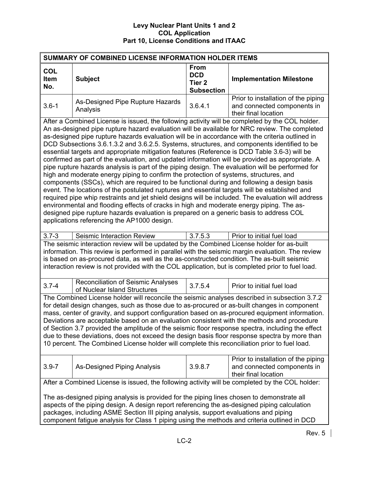| SUMMARY OF COMBINED LICENSE INFORMATION HOLDER ITEMS                                                                                                                                                                                                                                                                                                                                                                                                                                                                                                                                                                                                                                                                                                                                                                                                                                                                                                                                                                                                                                                                                                                                                                                                                                                                                         |                                                                                                                                                                                                                                                                                                                                                                                                    |                                                                     |                                                                                            |  |
|----------------------------------------------------------------------------------------------------------------------------------------------------------------------------------------------------------------------------------------------------------------------------------------------------------------------------------------------------------------------------------------------------------------------------------------------------------------------------------------------------------------------------------------------------------------------------------------------------------------------------------------------------------------------------------------------------------------------------------------------------------------------------------------------------------------------------------------------------------------------------------------------------------------------------------------------------------------------------------------------------------------------------------------------------------------------------------------------------------------------------------------------------------------------------------------------------------------------------------------------------------------------------------------------------------------------------------------------|----------------------------------------------------------------------------------------------------------------------------------------------------------------------------------------------------------------------------------------------------------------------------------------------------------------------------------------------------------------------------------------------------|---------------------------------------------------------------------|--------------------------------------------------------------------------------------------|--|
| <b>COL</b><br>Item<br>No.                                                                                                                                                                                                                                                                                                                                                                                                                                                                                                                                                                                                                                                                                                                                                                                                                                                                                                                                                                                                                                                                                                                                                                                                                                                                                                                    | <b>Subject</b>                                                                                                                                                                                                                                                                                                                                                                                     | <b>From</b><br><b>DCD</b><br>Tier <sub>2</sub><br><b>Subsection</b> | <b>Implementation Milestone</b>                                                            |  |
| $3.6 - 1$                                                                                                                                                                                                                                                                                                                                                                                                                                                                                                                                                                                                                                                                                                                                                                                                                                                                                                                                                                                                                                                                                                                                                                                                                                                                                                                                    | As-Designed Pipe Rupture Hazards<br>Analysis                                                                                                                                                                                                                                                                                                                                                       | 3.6.4.1                                                             | Prior to installation of the piping<br>and connected components in<br>their final location |  |
| After a Combined License is issued, the following activity will be completed by the COL holder.<br>An as-designed pipe rupture hazard evaluation will be available for NRC review. The completed<br>as-designed pipe rupture hazards evaluation will be in accordance with the criteria outlined in<br>DCD Subsections 3.6.1.3.2 and 3.6.2.5. Systems, structures, and components identified to be<br>essential targets and appropriate mitigation features (Reference is DCD Table 3.6-3) will be<br>confirmed as part of the evaluation, and updated information will be provided as appropriate. A<br>pipe rupture hazards analysis is part of the piping design. The evaluation will be performed for<br>high and moderate energy piping to confirm the protection of systems, structures, and<br>components (SSCs), which are required to be functional during and following a design basis<br>event. The locations of the postulated ruptures and essential targets will be established and<br>required pipe whip restraints and jet shield designs will be included. The evaluation will address<br>environmental and flooding effects of cracks in high and moderate energy piping. The as-<br>designed pipe rupture hazards evaluation is prepared on a generic basis to address COL<br>applications referencing the AP1000 design. |                                                                                                                                                                                                                                                                                                                                                                                                    |                                                                     |                                                                                            |  |
| $3.7 - 3$                                                                                                                                                                                                                                                                                                                                                                                                                                                                                                                                                                                                                                                                                                                                                                                                                                                                                                                                                                                                                                                                                                                                                                                                                                                                                                                                    | Seismic Interaction Review                                                                                                                                                                                                                                                                                                                                                                         | 3.7.5.3                                                             | Prior to initial fuel load                                                                 |  |
|                                                                                                                                                                                                                                                                                                                                                                                                                                                                                                                                                                                                                                                                                                                                                                                                                                                                                                                                                                                                                                                                                                                                                                                                                                                                                                                                              | The seismic interaction review will be updated by the Combined License holder for as-built<br>information. This review is performed in parallel with the seismic margin evaluation. The review<br>is based on as-procured data, as well as the as-constructed condition. The as-built seismic<br>interaction review is not provided with the COL application, but is completed prior to fuel load. |                                                                     |                                                                                            |  |
| $3.7 - 4$                                                                                                                                                                                                                                                                                                                                                                                                                                                                                                                                                                                                                                                                                                                                                                                                                                                                                                                                                                                                                                                                                                                                                                                                                                                                                                                                    | <b>Reconciliation of Seismic Analyses</b><br>of Nuclear Island Structures                                                                                                                                                                                                                                                                                                                          | 3.7.5.4                                                             | Prior to initial fuel load                                                                 |  |
| The Combined License holder will reconcile the seismic analyses described in subsection 3.7.2<br>for detail design changes, such as those due to as-procured or as-built changes in component<br>mass, center of gravity, and support configuration based on as-procured equipment information.<br>Deviations are acceptable based on an evaluation consistent with the methods and procedure<br>of Section 3.7 provided the amplitude of the seismic floor response spectra, including the effect<br>due to these deviations, does not exceed the design basis floor response spectra by more than<br>10 percent. The Combined License holder will complete this reconciliation prior to fuel load.                                                                                                                                                                                                                                                                                                                                                                                                                                                                                                                                                                                                                                         |                                                                                                                                                                                                                                                                                                                                                                                                    |                                                                     |                                                                                            |  |
| $3.9 - 7$                                                                                                                                                                                                                                                                                                                                                                                                                                                                                                                                                                                                                                                                                                                                                                                                                                                                                                                                                                                                                                                                                                                                                                                                                                                                                                                                    | As-Designed Piping Analysis                                                                                                                                                                                                                                                                                                                                                                        | 3.9.8.7                                                             | Prior to installation of the piping<br>and connected components in<br>their final location |  |
|                                                                                                                                                                                                                                                                                                                                                                                                                                                                                                                                                                                                                                                                                                                                                                                                                                                                                                                                                                                                                                                                                                                                                                                                                                                                                                                                              | After a Combined License is issued, the following activity will be completed by the COL holder:                                                                                                                                                                                                                                                                                                    |                                                                     |                                                                                            |  |
| The as-designed piping analysis is provided for the piping lines chosen to demonstrate all<br>aspects of the piping design. A design report referencing the as-designed piping calculation<br>packages, including ASME Section III piping analysis, support evaluations and piping<br>component fatigue analysis for Class 1 piping using the methods and criteria outlined in DCD                                                                                                                                                                                                                                                                                                                                                                                                                                                                                                                                                                                                                                                                                                                                                                                                                                                                                                                                                           |                                                                                                                                                                                                                                                                                                                                                                                                    |                                                                     |                                                                                            |  |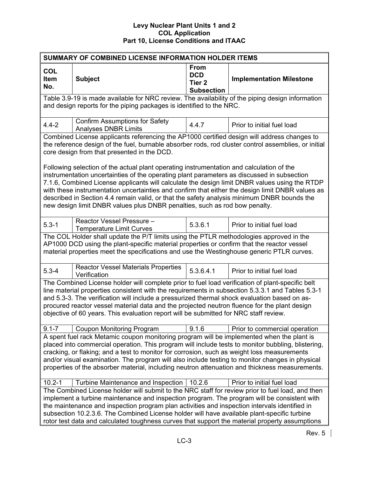| SUMMARY OF COMBINED LICENSE INFORMATION HOLDER ITEMS                                                                                                                                                                                                                                                                                                                                                                                                                                                |                                                                                                                                                                                                                                                                                                                                                                                                                                                                                                   |                                                                     |                                 |  |
|-----------------------------------------------------------------------------------------------------------------------------------------------------------------------------------------------------------------------------------------------------------------------------------------------------------------------------------------------------------------------------------------------------------------------------------------------------------------------------------------------------|---------------------------------------------------------------------------------------------------------------------------------------------------------------------------------------------------------------------------------------------------------------------------------------------------------------------------------------------------------------------------------------------------------------------------------------------------------------------------------------------------|---------------------------------------------------------------------|---------------------------------|--|
| <b>COL</b><br><b>Item</b><br>No.                                                                                                                                                                                                                                                                                                                                                                                                                                                                    | <b>Subject</b>                                                                                                                                                                                                                                                                                                                                                                                                                                                                                    | <b>From</b><br><b>DCD</b><br>Tier <sub>2</sub><br><b>Subsection</b> | <b>Implementation Milestone</b> |  |
|                                                                                                                                                                                                                                                                                                                                                                                                                                                                                                     | Table 3.9-19 is made available for NRC review. The availability of the piping design information<br>and design reports for the piping packages is identified to the NRC.                                                                                                                                                                                                                                                                                                                          |                                                                     |                                 |  |
| $4.4 - 2$                                                                                                                                                                                                                                                                                                                                                                                                                                                                                           | <b>Confirm Assumptions for Safety</b><br><b>Analyses DNBR Limits</b>                                                                                                                                                                                                                                                                                                                                                                                                                              | 4.4.7                                                               | Prior to initial fuel load      |  |
|                                                                                                                                                                                                                                                                                                                                                                                                                                                                                                     | Combined License applicants referencing the AP1000 certified design will address changes to<br>the reference design of the fuel, burnable absorber rods, rod cluster control assemblies, or initial<br>core design from that presented in the DCD.<br>Following selection of the actual plant operating instrumentation and calculation of the                                                                                                                                                    |                                                                     |                                 |  |
|                                                                                                                                                                                                                                                                                                                                                                                                                                                                                                     | instrumentation uncertainties of the operating plant parameters as discussed in subsection<br>7.1.6, Combined License applicants will calculate the design limit DNBR values using the RTDP<br>with these instrumentation uncertainties and confirm that either the design limit DNBR values as<br>described in Section 4.4 remain valid, or that the safety analysis minimum DNBR bounds the<br>new design limit DNBR values plus DNBR penalties, such as rod bow penalty.                       |                                                                     |                                 |  |
| $5.3 - 1$                                                                                                                                                                                                                                                                                                                                                                                                                                                                                           | Reactor Vessel Pressure -<br><b>Temperature Limit Curves</b>                                                                                                                                                                                                                                                                                                                                                                                                                                      | 5.3.6.1                                                             | Prior to initial fuel load      |  |
|                                                                                                                                                                                                                                                                                                                                                                                                                                                                                                     | The COL Holder shall update the P/T limits using the PTLR methodologies approved in the<br>AP1000 DCD using the plant-specific material properties or confirm that the reactor vessel<br>material properties meet the specifications and use the Westinghouse generic PTLR curves.                                                                                                                                                                                                                |                                                                     |                                 |  |
| $5.3 - 4$                                                                                                                                                                                                                                                                                                                                                                                                                                                                                           | <b>Reactor Vessel Materials Properties</b><br>Verification                                                                                                                                                                                                                                                                                                                                                                                                                                        | 5.3.6.4.1                                                           | Prior to initial fuel load      |  |
| The Combined License holder will complete prior to fuel load verification of plant-specific belt<br>line material properties consistent with the requirements in subsection 5.3.3.1 and Tables 5.3-1<br>and 5.3-3. The verification will include a pressurized thermal shock evaluation based on as-<br>procured reactor vessel material data and the projected neutron fluence for the plant design<br>objective of 60 years. This evaluation report will be submitted for NRC staff review.       |                                                                                                                                                                                                                                                                                                                                                                                                                                                                                                   |                                                                     |                                 |  |
| $9.1 - 7$                                                                                                                                                                                                                                                                                                                                                                                                                                                                                           | <b>Coupon Monitoring Program</b>                                                                                                                                                                                                                                                                                                                                                                                                                                                                  | 9.1.6                                                               | Prior to commercial operation   |  |
| A spent fuel rack Metamic coupon monitoring program will be implemented when the plant is<br>placed into commercial operation. This program will include tests to monitor bubbling, blistering,<br>cracking, or flaking; and a test to monitor for corrosion, such as weight loss measurements<br>and/or visual examination. The program will also include testing to monitor changes in physical<br>properties of the absorber material, including neutron attenuation and thickness measurements. |                                                                                                                                                                                                                                                                                                                                                                                                                                                                                                   |                                                                     |                                 |  |
| $10.2 - 1$                                                                                                                                                                                                                                                                                                                                                                                                                                                                                          | Turbine Maintenance and Inspection                                                                                                                                                                                                                                                                                                                                                                                                                                                                | 10.2.6                                                              | Prior to initial fuel load      |  |
|                                                                                                                                                                                                                                                                                                                                                                                                                                                                                                     | The Combined License holder will submit to the NRC staff for review prior to fuel load, and then<br>implement a turbine maintenance and inspection program. The program will be consistent with<br>the maintenance and inspection program plan activities and inspection intervals identified in<br>subsection 10.2.3.6. The Combined License holder will have available plant-specific turbine<br>rotor test data and calculated toughness curves that support the material property assumptions |                                                                     |                                 |  |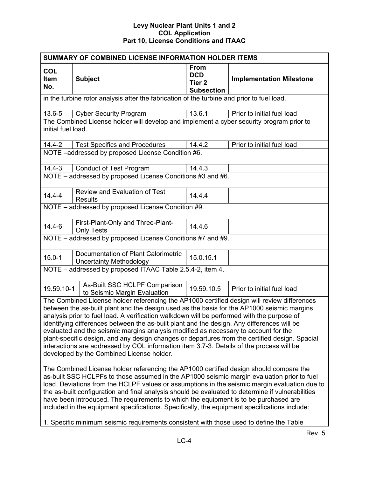| SUMMARY OF COMBINED LICENSE INFORMATION HOLDER ITEMS |                                                                                                                                                                                                                                                                                                                                                                                                                                                                                                                                                                                                                                                                                                                                                                                                                                                                                                                                                                                                                                                                                                                                                                                                               |                                                                     |                                 |
|------------------------------------------------------|---------------------------------------------------------------------------------------------------------------------------------------------------------------------------------------------------------------------------------------------------------------------------------------------------------------------------------------------------------------------------------------------------------------------------------------------------------------------------------------------------------------------------------------------------------------------------------------------------------------------------------------------------------------------------------------------------------------------------------------------------------------------------------------------------------------------------------------------------------------------------------------------------------------------------------------------------------------------------------------------------------------------------------------------------------------------------------------------------------------------------------------------------------------------------------------------------------------|---------------------------------------------------------------------|---------------------------------|
| <b>COL</b><br>Item<br>No.                            | <b>Subject</b>                                                                                                                                                                                                                                                                                                                                                                                                                                                                                                                                                                                                                                                                                                                                                                                                                                                                                                                                                                                                                                                                                                                                                                                                | <b>From</b><br><b>DCD</b><br>Tier <sub>2</sub><br><b>Subsection</b> | <b>Implementation Milestone</b> |
|                                                      | in the turbine rotor analysis after the fabrication of the turbine and prior to fuel load.                                                                                                                                                                                                                                                                                                                                                                                                                                                                                                                                                                                                                                                                                                                                                                                                                                                                                                                                                                                                                                                                                                                    |                                                                     |                                 |
| 13.6-5                                               | <b>Cyber Security Program</b>                                                                                                                                                                                                                                                                                                                                                                                                                                                                                                                                                                                                                                                                                                                                                                                                                                                                                                                                                                                                                                                                                                                                                                                 | 13.6.1                                                              | Prior to initial fuel load      |
| initial fuel load.                                   | The Combined License holder will develop and implement a cyber security program prior to                                                                                                                                                                                                                                                                                                                                                                                                                                                                                                                                                                                                                                                                                                                                                                                                                                                                                                                                                                                                                                                                                                                      |                                                                     |                                 |
| $14.4 - 2$                                           | <b>Test Specifics and Procedures</b>                                                                                                                                                                                                                                                                                                                                                                                                                                                                                                                                                                                                                                                                                                                                                                                                                                                                                                                                                                                                                                                                                                                                                                          | 14.4.2                                                              | Prior to initial fuel load      |
|                                                      | NOTE -addressed by proposed License Condition #6.                                                                                                                                                                                                                                                                                                                                                                                                                                                                                                                                                                                                                                                                                                                                                                                                                                                                                                                                                                                                                                                                                                                                                             |                                                                     |                                 |
| $14.4 - 3$                                           | <b>Conduct of Test Program</b>                                                                                                                                                                                                                                                                                                                                                                                                                                                                                                                                                                                                                                                                                                                                                                                                                                                                                                                                                                                                                                                                                                                                                                                | 14.4.3                                                              |                                 |
|                                                      | NOTE - addressed by proposed License Conditions #3 and #6.                                                                                                                                                                                                                                                                                                                                                                                                                                                                                                                                                                                                                                                                                                                                                                                                                                                                                                                                                                                                                                                                                                                                                    |                                                                     |                                 |
| $14.4 - 4$                                           | <b>Review and Evaluation of Test</b><br><b>Results</b>                                                                                                                                                                                                                                                                                                                                                                                                                                                                                                                                                                                                                                                                                                                                                                                                                                                                                                                                                                                                                                                                                                                                                        | 14.4.4                                                              |                                 |
|                                                      | NOTE - addressed by proposed License Condition #9.                                                                                                                                                                                                                                                                                                                                                                                                                                                                                                                                                                                                                                                                                                                                                                                                                                                                                                                                                                                                                                                                                                                                                            |                                                                     |                                 |
| $14.4 - 6$                                           | First-Plant-Only and Three-Plant-<br><b>Only Tests</b>                                                                                                                                                                                                                                                                                                                                                                                                                                                                                                                                                                                                                                                                                                                                                                                                                                                                                                                                                                                                                                                                                                                                                        | 14.4.6                                                              |                                 |
|                                                      | NOTE - addressed by proposed License Conditions #7 and #9.                                                                                                                                                                                                                                                                                                                                                                                                                                                                                                                                                                                                                                                                                                                                                                                                                                                                                                                                                                                                                                                                                                                                                    |                                                                     |                                 |
| $15.0 - 1$                                           | Documentation of Plant Calorimetric<br><b>Uncertainty Methodology</b>                                                                                                                                                                                                                                                                                                                                                                                                                                                                                                                                                                                                                                                                                                                                                                                                                                                                                                                                                                                                                                                                                                                                         | 15.0.15.1                                                           |                                 |
|                                                      | NOTE - addressed by proposed ITAAC Table 2.5.4-2, item 4.                                                                                                                                                                                                                                                                                                                                                                                                                                                                                                                                                                                                                                                                                                                                                                                                                                                                                                                                                                                                                                                                                                                                                     |                                                                     |                                 |
| 19.59.10-1                                           | As-Built SSC HCLPF Comparison<br>to Seismic Margin Evaluation                                                                                                                                                                                                                                                                                                                                                                                                                                                                                                                                                                                                                                                                                                                                                                                                                                                                                                                                                                                                                                                                                                                                                 | 19.59.10.5                                                          | Prior to initial fuel load      |
|                                                      | The Combined License holder referencing the AP1000 certified design will review differences<br>between the as-built plant and the design used as the basis for the AP1000 seismic margins<br>analysis prior to fuel load. A verification walkdown will be performed with the purpose of<br>identifying differences between the as-built plant and the design. Any differences will be<br>evaluated and the seismic margins analysis modified as necessary to account for the<br>plant-specific design, and any design changes or departures from the certified design. Spacial<br>interactions are addressed by COL information item 3.7-3. Details of the process will be<br>developed by the Combined License holder.<br>The Combined License holder referencing the AP1000 certified design should compare the<br>as-built SSC HCLPFs to those assumed in the AP1000 seismic margin evaluation prior to fuel<br>load. Deviations from the HCLPF values or assumptions in the seismic margin evaluation due to<br>the as-built configuration and final analysis should be evaluated to determine if vulnerabilities<br>have been introduced. The requirements to which the equipment is to be purchased are |                                                                     |                                 |
|                                                      | included in the equipment specifications. Specifically, the equipment specifications include:                                                                                                                                                                                                                                                                                                                                                                                                                                                                                                                                                                                                                                                                                                                                                                                                                                                                                                                                                                                                                                                                                                                 |                                                                     |                                 |
|                                                      | 1. Specific minimum seismic requirements consistent with those used to define the Table                                                                                                                                                                                                                                                                                                                                                                                                                                                                                                                                                                                                                                                                                                                                                                                                                                                                                                                                                                                                                                                                                                                       |                                                                     |                                 |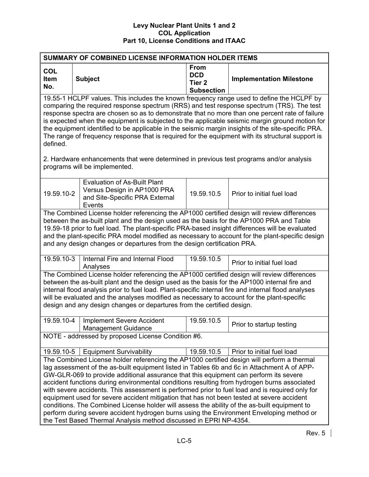| <b>SUMMARY OF COMBINED LICENSE INFORMATION HOLDER ITEMS</b>                                                                                                                                                                                                                                                                                                                                                                                                                                                                                                                                                                                                                                                                                                                                                                                        |                                                                                                                                                                                                                                                                                                                                                                                                                                                                                                                                                                                                       |                                                                     |                                 |  |  |
|----------------------------------------------------------------------------------------------------------------------------------------------------------------------------------------------------------------------------------------------------------------------------------------------------------------------------------------------------------------------------------------------------------------------------------------------------------------------------------------------------------------------------------------------------------------------------------------------------------------------------------------------------------------------------------------------------------------------------------------------------------------------------------------------------------------------------------------------------|-------------------------------------------------------------------------------------------------------------------------------------------------------------------------------------------------------------------------------------------------------------------------------------------------------------------------------------------------------------------------------------------------------------------------------------------------------------------------------------------------------------------------------------------------------------------------------------------------------|---------------------------------------------------------------------|---------------------------------|--|--|
| <b>COL</b><br>Item<br>No.                                                                                                                                                                                                                                                                                                                                                                                                                                                                                                                                                                                                                                                                                                                                                                                                                          | <b>Subject</b>                                                                                                                                                                                                                                                                                                                                                                                                                                                                                                                                                                                        | <b>From</b><br><b>DCD</b><br>Tier <sub>2</sub><br><b>Subsection</b> | <b>Implementation Milestone</b> |  |  |
| defined.<br>2. Hardware enhancements that were determined in previous test programs and/or analysis                                                                                                                                                                                                                                                                                                                                                                                                                                                                                                                                                                                                                                                                                                                                                | 19.55-1 HCLPF values. This includes the known frequency range used to define the HCLPF by<br>comparing the required response spectrum (RRS) and test response spectrum (TRS). The test<br>response spectra are chosen so as to demonstrate that no more than one percent rate of failure<br>is expected when the equipment is subjected to the applicable seismic margin ground motion for<br>the equipment identified to be applicable in the seismic margin insights of the site-specific PRA.<br>The range of frequency response that is required for the equipment with its structural support is |                                                                     |                                 |  |  |
|                                                                                                                                                                                                                                                                                                                                                                                                                                                                                                                                                                                                                                                                                                                                                                                                                                                    | programs will be implemented.                                                                                                                                                                                                                                                                                                                                                                                                                                                                                                                                                                         |                                                                     |                                 |  |  |
| 19.59.10-2                                                                                                                                                                                                                                                                                                                                                                                                                                                                                                                                                                                                                                                                                                                                                                                                                                         | <b>Evaluation of As-Built Plant</b><br>Versus Design in AP1000 PRA<br>and Site-Specific PRA External<br>Events                                                                                                                                                                                                                                                                                                                                                                                                                                                                                        | 19.59.10.5                                                          | Prior to initial fuel load      |  |  |
|                                                                                                                                                                                                                                                                                                                                                                                                                                                                                                                                                                                                                                                                                                                                                                                                                                                    | The Combined License holder referencing the AP1000 certified design will review differences<br>between the as-built plant and the design used as the basis for the AP1000 PRA and Table<br>19.59-18 prior to fuel load. The plant-specific PRA-based insight differences will be evaluated<br>and the plant-specific PRA model modified as necessary to account for the plant-specific design<br>and any design changes or departures from the design certification PRA.                                                                                                                              |                                                                     |                                 |  |  |
| 19.59.10-3                                                                                                                                                                                                                                                                                                                                                                                                                                                                                                                                                                                                                                                                                                                                                                                                                                         | Internal Fire and Internal Flood<br>Analyses                                                                                                                                                                                                                                                                                                                                                                                                                                                                                                                                                          | 19.59.10.5                                                          | Prior to initial fuel load      |  |  |
| The Combined License holder referencing the AP1000 certified design will review differences<br>between the as-built plant and the design used as the basis for the AP1000 internal fire and<br>internal flood analysis prior to fuel load. Plant-specific internal fire and internal flood analyses<br>will be evaluated and the analyses modified as necessary to account for the plant-specific<br>design and any design changes or departures from the certified design.                                                                                                                                                                                                                                                                                                                                                                        |                                                                                                                                                                                                                                                                                                                                                                                                                                                                                                                                                                                                       |                                                                     |                                 |  |  |
| 19.59.10-4                                                                                                                                                                                                                                                                                                                                                                                                                                                                                                                                                                                                                                                                                                                                                                                                                                         | <b>Implement Severe Accident</b><br><b>Management Guidance</b>                                                                                                                                                                                                                                                                                                                                                                                                                                                                                                                                        | 19.59.10.5                                                          | Prior to startup testing        |  |  |
| NOTE - addressed by proposed License Condition #6.                                                                                                                                                                                                                                                                                                                                                                                                                                                                                                                                                                                                                                                                                                                                                                                                 |                                                                                                                                                                                                                                                                                                                                                                                                                                                                                                                                                                                                       |                                                                     |                                 |  |  |
| 19.59.10-5                                                                                                                                                                                                                                                                                                                                                                                                                                                                                                                                                                                                                                                                                                                                                                                                                                         | <b>Equipment Survivability</b>                                                                                                                                                                                                                                                                                                                                                                                                                                                                                                                                                                        | 19.59.10.5                                                          | Prior to initial fuel load      |  |  |
| The Combined License holder referencing the AP1000 certified design will perform a thermal<br>lag assessment of the as-built equipment listed in Tables 6b and 6c in Attachment A of APP-<br>GW-GLR-069 to provide additional assurance that this equipment can perform its severe<br>accident functions during environmental conditions resulting from hydrogen burns associated<br>with severe accidents. This assessment is performed prior to fuel load and is required only for<br>equipment used for severe accident mitigation that has not been tested at severe accident<br>conditions. The Combined License holder will assess the ability of the as-built equipment to<br>perform during severe accident hydrogen burns using the Environment Enveloping method or<br>the Test Based Thermal Analysis method discussed in EPRI NP-4354. |                                                                                                                                                                                                                                                                                                                                                                                                                                                                                                                                                                                                       |                                                                     |                                 |  |  |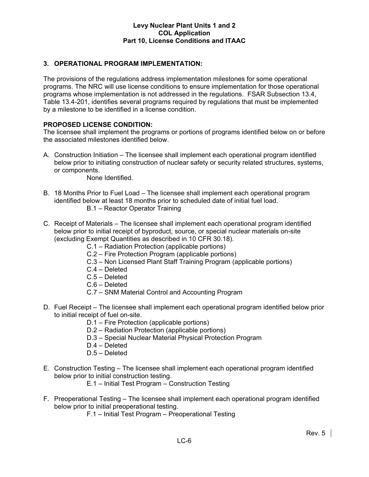# **3. OPERATIONAL PROGRAM IMPLEMENTATION:**

The provisions of the regulations address implementation milestones for some operational programs. The NRC will use license conditions to ensure implementation for those operational programs whose implementation is not addressed in the regulations. FSAR Subsection 13.4, Table 13.4-201, identifies several programs required by regulations that must be implemented by a milestone to be identified in a license condition.

# **PROPOSED LICENSE CONDITION:**

The licensee shall implement the programs or portions of programs identified below on or before the associated milestones identified below.

A. Construction Initiation – The licensee shall implement each operational program identified below prior to initiating construction of nuclear safety or security related structures, systems, or components.

None Identified.

- B. 18 Months Prior to Fuel Load The licensee shall implement each operational program identified below at least 18 months prior to scheduled date of initial fuel load. B.1 – Reactor Operator Training
- C. Receipt of Materials The licensee shall implement each operational program identified below prior to initial receipt of byproduct, source, or special nuclear materials on-site (excluding Exempt Quantities as described in 10 CFR 30.18).
	- C.1 Radiation Protection (applicable portions)
	- C.2 Fire Protection Program (applicable portions)
	- C.3 Non Licensed Plant Staff Training Program (applicable portions)
	- C.4 Deleted
	- C.5 Deleted
	- C.6 Deleted
	- C.7 SNM Material Control and Accounting Program
- D. Fuel Receipt The licensee shall implement each operational program identified below prior to initial receipt of fuel on-site.
	- D.1 Fire Protection (applicable portions)
	- D.2 Radiation Protection (applicable portions)
	- D.3 Special Nuclear Material Physical Protection Program
	- D.4 Deleted
	- D.5 Deleted
- E. Construction Testing The licensee shall implement each operational program identified below prior to initial construction testing.
	- E.1 Initial Test Program Construction Testing
- F. Preoperational Testing The licensee shall implement each operational program identified below prior to initial preoperational testing.
	- F.1 Initial Test Program Preoperational Testing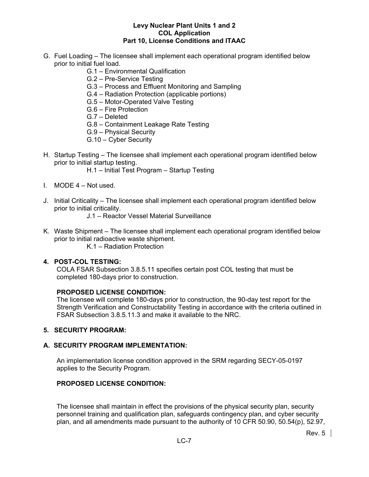- G. Fuel Loading The licensee shall implement each operational program identified below prior to initial fuel load.
	- G.1 Environmental Qualification
	- G.2 Pre-Service Testing
	- G.3 Process and Effluent Monitoring and Sampling
	- G.4 Radiation Protection (applicable portions)
	- G.5 Motor-Operated Valve Testing
	- G.6 Fire Protection
	- G.7 Deleted
	- G.8 Containment Leakage Rate Testing
	- G.9 Physical Security
	- G.10 Cyber Security
- H. Startup Testing The licensee shall implement each operational program identified below prior to initial startup testing.
	- H.1 Initial Test Program Startup Testing
- I. MODE 4 Not used.
- J. Initial Criticality The licensee shall implement each operational program identified below prior to initial criticality.
	- J.1 Reactor Vessel Material Surveillance
- K. Waste Shipment The licensee shall implement each operational program identified below prior to initial radioactive waste shipment.
	- K.1 Radiation Protection

### **4. POST-COL TESTING:**

COLA FSAR Subsection 3.8.5.11 specifies certain post COL testing that must be completed 180-days prior to construction.

#### **PROPOSED LICENSE CONDITION:**

The licensee will complete 180-days prior to construction, the 90-day test report for the Strength Verification and Constructability Testing in accordance with the criteria outlined in FSAR Subsection 3.8.5.11.3 and make it available to the NRC.

#### **5. SECURITY PROGRAM:**

#### **A. SECURITY PROGRAM IMPLEMENTATION:**

An implementation license condition approved in the SRM regarding SECY-05-0197 applies to the Security Program.

# **PROPOSED LICENSE CONDITION:**

The licensee shall maintain in effect the provisions of the physical security plan, security personnel training and qualification plan, safeguards contingency plan, and cyber security plan, and all amendments made pursuant to the authority of 10 CFR 50.90, 50.54(p), 52.97,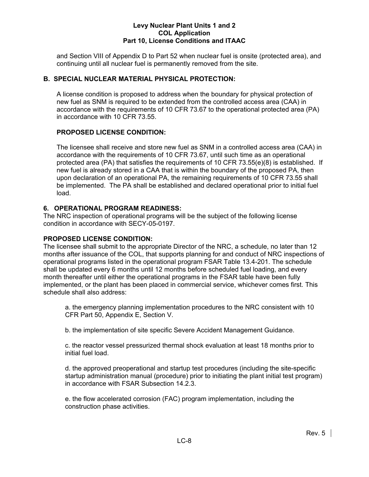and Section VIII of Appendix D to Part 52 when nuclear fuel is onsite (protected area), and continuing until all nuclear fuel is permanently removed from the site.

# **B. SPECIAL NUCLEAR MATERIAL PHYSICAL PROTECTION:**

A license condition is proposed to address when the boundary for physical protection of new fuel as SNM is required to be extended from the controlled access area (CAA) in accordance with the requirements of 10 CFR 73.67 to the operational protected area (PA) in accordance with 10 CFR 73.55.

# **PROPOSED LICENSE CONDITION:**

The licensee shall receive and store new fuel as SNM in a controlled access area (CAA) in accordance with the requirements of 10 CFR 73.67, until such time as an operational protected area (PA) that satisfies the requirements of 10 CFR 73.55(e)(8) is established. If new fuel is already stored in a CAA that is within the boundary of the proposed PA, then upon declaration of an operational PA, the remaining requirements of 10 CFR 73.55 shall be implemented. The PA shall be established and declared operational prior to initial fuel load.

# **6. OPERATIONAL PROGRAM READINESS:**

The NRC inspection of operational programs will be the subject of the following license condition in accordance with SECY-05-0197.

# **PROPOSED LICENSE CONDITION:**

The licensee shall submit to the appropriate Director of the NRC, a schedule, no later than 12 months after issuance of the COL, that supports planning for and conduct of NRC inspections of operational programs listed in the operational program FSAR Table 13.4-201. The schedule shall be updated every 6 months until 12 months before scheduled fuel loading, and every month thereafter until either the operational programs in the FSAR table have been fully implemented, or the plant has been placed in commercial service, whichever comes first. This schedule shall also address:

a. the emergency planning implementation procedures to the NRC consistent with 10 CFR Part 50, Appendix E, Section V.

b. the implementation of site specific Severe Accident Management Guidance.

c. the reactor vessel pressurized thermal shock evaluation at least 18 months prior to initial fuel load.

d. the approved preoperational and startup test procedures (including the site-specific startup administration manual (procedure) prior to initiating the plant initial test program) in accordance with FSAR Subsection 14.2.3.

e. the flow accelerated corrosion (FAC) program implementation, including the construction phase activities.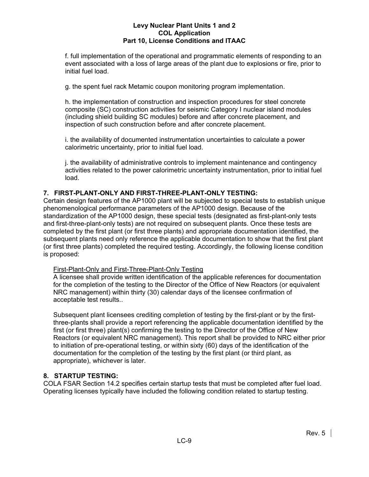f. full implementation of the operational and programmatic elements of responding to an event associated with a loss of large areas of the plant due to explosions or fire, prior to initial fuel load.

g. the spent fuel rack Metamic coupon monitoring program implementation.

h. the implementation of construction and inspection procedures for steel concrete composite (SC) construction activities for seismic Category I nuclear island modules (including shield building SC modules) before and after concrete placement, and inspection of such construction before and after concrete placement.

i. the availability of documented instrumentation uncertainties to calculate a power calorimetric uncertainty, prior to initial fuel load.

j. the availability of administrative controls to implement maintenance and contingency activities related to the power calorimetric uncertainty instrumentation, prior to initial fuel load.

# **7. FIRST-PLANT-ONLY AND FIRST-THREE-PLANT-ONLY TESTING:**

Certain design features of the AP1000 plant will be subjected to special tests to establish unique phenomenological performance parameters of the AP1000 design. Because of the standardization of the AP1000 design, these special tests (designated as first-plant-only tests and first-three-plant-only tests) are not required on subsequent plants. Once these tests are completed by the first plant (or first three plants) and appropriate documentation identified, the subsequent plants need only reference the applicable documentation to show that the first plant (or first three plants) completed the required testing. Accordingly, the following license condition is proposed:

# First-Plant-Only and First-Three-Plant-Only Testing

A licensee shall provide written identification of the applicable references for documentation for the completion of the testing to the Director of the Office of New Reactors (or equivalent NRC management) within thirty (30) calendar days of the licensee confirmation of acceptable test results..

Subsequent plant licensees crediting completion of testing by the first-plant or by the firstthree-plants shall provide a report referencing the applicable documentation identified by the first (or first three) plant(s) confirming the testing to the Director of the Office of New Reactors (or equivalent NRC management). This report shall be provided to NRC either prior to initiation of pre-operational testing, or within sixty (60) days of the identification of the documentation for the completion of the testing by the first plant (or third plant, as appropriate), whichever is later.

# **8. STARTUP TESTING:**

COLA FSAR Section 14.2 specifies certain startup tests that must be completed after fuel load. Operating licenses typically have included the following condition related to startup testing.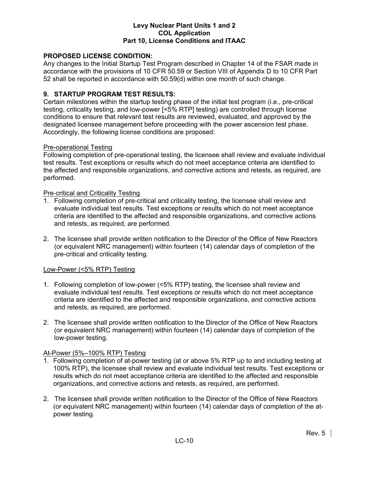# **PROPOSED LICENSE CONDITION:**

Any changes to the Initial Startup Test Program described in Chapter 14 of the FSAR made in accordance with the provisions of 10 CFR 50.59 or Section VIII of Appendix D to 10 CFR Part 52 shall be reported in accordance with 50.59(d) within one month of such change.

# **9. STARTUP PROGRAM TEST RESULTS:**

Certain milestones within the startup testing phase of the initial test program (i.e., pre-critical testing, criticality testing, and low-power [<5% RTP] testing) are controlled through license conditions to ensure that relevant test results are reviewed, evaluated, and approved by the designated licensee management before proceeding with the power ascension test phase. Accordingly, the following license conditions are proposed:

#### Pre-operational Testing

Following completion of pre-operational testing, the licensee shall review and evaluate individual test results. Test exceptions or results which do not meet acceptance criteria are identified to the affected and responsible organizations, and corrective actions and retests, as required, are performed.

#### Pre-critical and Criticality Testing

- 1. Following completion of pre-critical and criticality testing, the licensee shall review and evaluate individual test results. Test exceptions or results which do not meet acceptance criteria are identified to the affected and responsible organizations, and corrective actions and retests, as required, are performed.
- 2. The licensee shall provide written notification to the Director of the Office of New Reactors (or equivalent NRC management) within fourteen (14) calendar days of completion of the pre-critical and criticality testing.

#### Low-Power (<5% RTP) Testing

- 1. Following completion of low-power (<5% RTP) testing, the licensee shall review and evaluate individual test results. Test exceptions or results which do not meet acceptance criteria are identified to the affected and responsible organizations, and corrective actions and retests, as required, are performed.
- 2. The licensee shall provide written notification to the Director of the Office of New Reactors (or equivalent NRC management) within fourteen (14) calendar days of completion of the low-power testing.

# At-Power (5%–100% RTP) Testing

- 1. Following completion of at-power testing (at or above 5% RTP up to and including testing at 100% RTP), the licensee shall review and evaluate individual test results. Test exceptions or results which do not meet acceptance criteria are identified to the affected and responsible organizations, and corrective actions and retests, as required, are performed.
- 2. The licensee shall provide written notification to the Director of the Office of New Reactors (or equivalent NRC management) within fourteen (14) calendar days of completion of the atpower testing.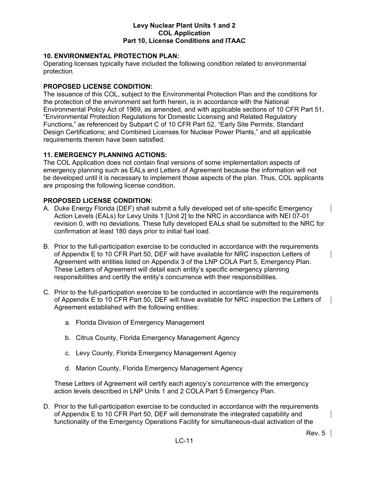# **10. ENVIRONMENTAL PROTECTION PLAN:**

Operating licenses typically have included the following condition related to environmental protection.

# **PROPOSED LICENSE CONDITION:**

The issuance of this COL, subject to the Environmental Protection Plan and the conditions for the protection of the environment set forth herein, is in accordance with the National Environmental Policy Act of 1969, as amended, and with applicable sections of 10 CFR Part 51, "Environmental Protection Regulations for Domestic Licensing and Related Regulatory Functions," as referenced by Subpart C of 10 CFR Part 52, "Early Site Permits; Standard Design Certifications; and Combined Licenses for Nuclear Power Plants," and all applicable requirements therein have been satisfied.

# **11. EMERGENCY PLANNING ACTIONS:**

The COL Application does not contain final versions of some implementation aspects of emergency planning such as EALs and Letters of Agreement because the information will not be developed until it is necessary to implement those aspects of the plan. Thus, COL applicants are proposing the following license condition.

# **PROPOSED LICENSE CONDITION:**

- A. Duke Energy Florida (DEF) shall submit a fully developed set of site-specific Emergency Action Levels (EALs) for Levy Units 1 [Unit 2] to the NRC in accordance with NEI 07-01 revision 0, with no deviations. These fully developed EALs shall be submitted to the NRC for confirmation at least 180 days prior to initial fuel load.
- B. Prior to the full-participation exercise to be conducted in accordance with the requirements of Appendix E to 10 CFR Part 50, DEF will have available for NRC inspection Letters of Agreement with entities listed on Appendix 3 of the LNP COLA Part 5, Emergency Plan. These Letters of Agreement will detail each entity's specific emergency planning responsibilities and certify the entity's concurrence with their responsibilities.
- C. Prior to the full-participation exercise to be conducted in accordance with the requirements of Appendix E to 10 CFR Part 50, DEF will have available for NRC inspection the Letters of Agreement established with the following entities:
	- a. Florida Division of Emergency Management
	- b. Citrus County, Florida Emergency Management Agency
	- c. Levy County, Florida Emergency Management Agency
	- d. Marion County, Florida Emergency Management Agency

These Letters of Agreement will certify each agency's concurrence with the emergency action levels described in LNP Units 1 and 2 COLA Part 5 Emergency Plan.

D. Prior to the full-participation exercise to be conducted in accordance with the requirements of Appendix E to 10 CFR Part 50, DEF will demonstrate the integrated capability and functionality of the Emergency Operations Facility for simultaneous-dual activation of the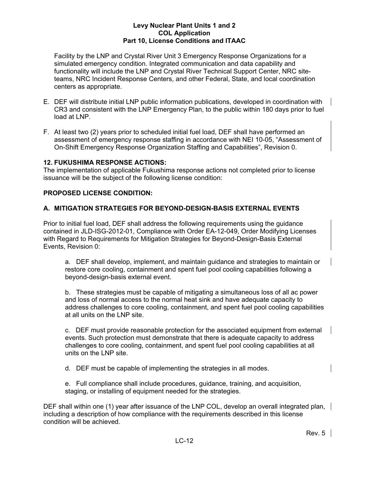Facility by the LNP and Crystal River Unit 3 Emergency Response Organizations for a simulated emergency condition. Integrated communication and data capability and functionality will include the LNP and Crystal River Technical Support Center, NRC siteteams, NRC Incident Response Centers, and other Federal, State, and local coordination centers as appropriate.

- E. DEF will distribute initial LNP public information publications, developed in coordination with CR3 and consistent with the LNP Emergency Plan, to the public within 180 days prior to fuel load at LNP.
- F. At least two (2) years prior to scheduled initial fuel load, DEF shall have performed an assessment of emergency response staffing in accordance with NEI 10-05, "Assessment of On-Shift Emergency Response Organization Staffing and Capabilities", Revision 0.

# **12. FUKUSHIMA RESPONSE ACTIONS:**

The implementation of applicable Fukushima response actions not completed prior to license issuance will be the subject of the following license condition:

# **PROPOSED LICENSE CONDITION:**

# **A. MITIGATION STRATEGIES FOR BEYOND-DESIGN-BASIS EXTERNAL EVENTS**

Prior to initial fuel load, DEF shall address the following requirements using the guidance contained in JLD-ISG-2012-01, Compliance with Order EA-12-049, Order Modifying Licenses with Regard to Requirements for Mitigation Strategies for Beyond-Design-Basis External Events, Revision 0:

a. DEF shall develop, implement, and maintain guidance and strategies to maintain or restore core cooling, containment and spent fuel pool cooling capabilities following a beyond-design-basis external event.

b. These strategies must be capable of mitigating a simultaneous loss of all ac power and loss of normal access to the normal heat sink and have adequate capacity to address challenges to core cooling, containment, and spent fuel pool cooling capabilities at all units on the LNP site.

c. DEF must provide reasonable protection for the associated equipment from external events. Such protection must demonstrate that there is adequate capacity to address challenges to core cooling, containment, and spent fuel pool cooling capabilities at all units on the LNP site.

d. DEF must be capable of implementing the strategies in all modes.

e. Full compliance shall include procedures, guidance, training, and acquisition, staging, or installing of equipment needed for the strategies.

DEF shall within one (1) year after issuance of the LNP COL, develop an overall integrated plan, including a description of how compliance with the requirements described in this license condition will be achieved.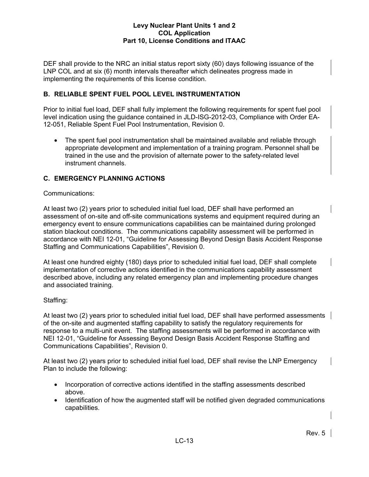DEF shall provide to the NRC an initial status report sixty (60) days following issuance of the LNP COL and at six (6) month intervals thereafter which delineates progress made in implementing the requirements of this license condition.

# **B. RELIABLE SPENT FUEL POOL LEVEL INSTRUMENTATION**

Prior to initial fuel load, DEF shall fully implement the following requirements for spent fuel pool level indication using the guidance contained in JLD-ISG-2012-03, Compliance with Order EA-12-051, Reliable Spent Fuel Pool Instrumentation, Revision 0.

• The spent fuel pool instrumentation shall be maintained available and reliable through appropriate development and implementation of a training program. Personnel shall be trained in the use and the provision of alternate power to the safety-related level instrument channels.

# **C. EMERGENCY PLANNING ACTIONS**

# Communications:

At least two (2) years prior to scheduled initial fuel load, DEF shall have performed an assessment of on-site and off-site communications systems and equipment required during an emergency event to ensure communications capabilities can be maintained during prolonged station blackout conditions. The communications capability assessment will be performed in accordance with NEI 12-01, "Guideline for Assessing Beyond Design Basis Accident Response Staffing and Communications Capabilities", Revision 0.

At least one hundred eighty (180) days prior to scheduled initial fuel load, DEF shall complete implementation of corrective actions identified in the communications capability assessment described above, including any related emergency plan and implementing procedure changes and associated training.

# Staffing:

At least two (2) years prior to scheduled initial fuel load, DEF shall have performed assessments of the on-site and augmented staffing capability to satisfy the regulatory requirements for response to a multi-unit event. The staffing assessments will be performed in accordance with NEI 12-01, "Guideline for Assessing Beyond Design Basis Accident Response Staffing and Communications Capabilities", Revision 0.

At least two (2) years prior to scheduled initial fuel load, DEF shall revise the LNP Emergency Plan to include the following:

- Incorporation of corrective actions identified in the staffing assessments described above.
- Identification of how the augmented staff will be notified given degraded communications capabilities.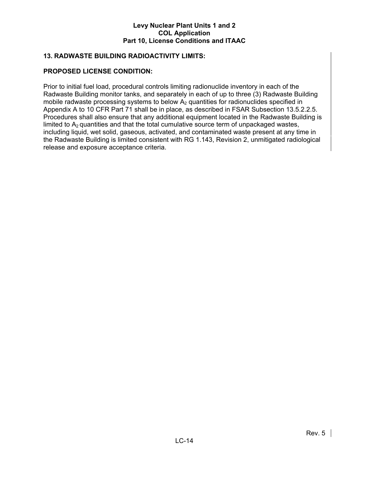# **13. RADWASTE BUILDING RADIOACTIVITY LIMITS:**

# **PROPOSED LICENSE CONDITION:**

Prior to initial fuel load, procedural controls limiting radionuclide inventory in each of the Radwaste Building monitor tanks, and separately in each of up to three (3) Radwaste Building mobile radwaste processing systems to below  $A_2$  quantities for radionuclides specified in Appendix A to 10 CFR Part 71 shall be in place, as described in FSAR Subsection 13.5.2.2.5. Procedures shall also ensure that any additional equipment located in the Radwaste Building is limited to  $A<sub>2</sub>$  quantities and that the total cumulative source term of unpackaged wastes, including liquid, wet solid, gaseous, activated, and contaminated waste present at any time in the Radwaste Building is limited consistent with RG 1.143, Revision 2, unmitigated radiological release and exposure acceptance criteria.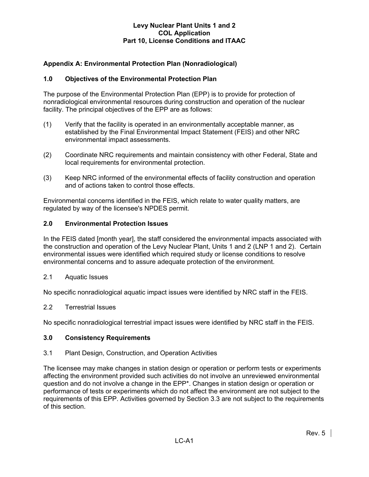# **Appendix A: Environmental Protection Plan (Nonradiological)**

# **1.0 Objectives of the Environmental Protection Plan**

The purpose of the Environmental Protection Plan (EPP) is to provide for protection of nonradiological environmental resources during construction and operation of the nuclear facility. The principal objectives of the EPP are as follows:

- (1) Verify that the facility is operated in an environmentally acceptable manner, as established by the Final Environmental Impact Statement (FEIS) and other NRC environmental impact assessments.
- (2) Coordinate NRC requirements and maintain consistency with other Federal, State and local requirements for environmental protection.
- (3) Keep NRC informed of the environmental effects of facility construction and operation and of actions taken to control those effects.

Environmental concerns identified in the FEIS, which relate to water quality matters, are regulated by way of the licensee's NPDES permit.

#### **2.0 Environmental Protection Issues**

In the FEIS dated [month year], the staff considered the environmental impacts associated with the construction and operation of the Levy Nuclear Plant, Units 1 and 2 (LNP 1 and 2). Certain environmental issues were identified which required study or license conditions to resolve environmental concerns and to assure adequate protection of the environment.

2.1 Aquatic Issues

No specific nonradiological aquatic impact issues were identified by NRC staff in the FEIS.

#### 2.2 Terrestrial Issues

No specific nonradiological terrestrial impact issues were identified by NRC staff in the FEIS.

#### **3.0 Consistency Requirements**

#### 3.1 Plant Design, Construction, and Operation Activities

The licensee may make changes in station design or operation or perform tests or experiments affecting the environment provided such activities do not involve an unreviewed environmental question and do not involve a change in the EPP\*. Changes in station design or operation or performance of tests or experiments which do not affect the environment are not subject to the requirements of this EPP. Activities governed by Section 3.3 are not subject to the requirements of this section.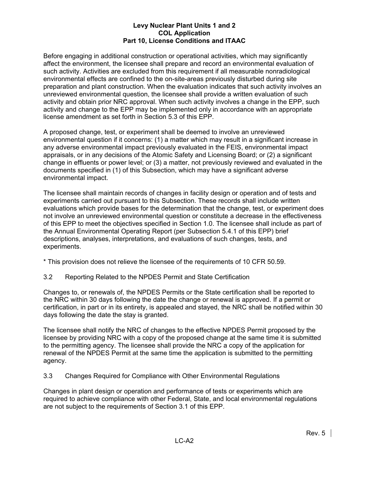Before engaging in additional construction or operational activities, which may significantly affect the environment, the licensee shall prepare and record an environmental evaluation of such activity. Activities are excluded from this requirement if all measurable nonradiological environmental effects are confined to the on-site-areas previously disturbed during site preparation and plant construction. When the evaluation indicates that such activity involves an unreviewed environmental question, the licensee shall provide a written evaluation of such activity and obtain prior NRC approval. When such activity involves a change in the EPP, such activity and change to the EPP may be implemented only in accordance with an appropriate license amendment as set forth in Section 5.3 of this EPP.

A proposed change, test, or experiment shall be deemed to involve an unreviewed environmental question if it concerns: (1) a matter which may result in a significant increase in any adverse environmental impact previously evaluated in the FEIS, environmental impact appraisals, or in any decisions of the Atomic Safety and Licensing Board; or (2) a significant change in effluents or power level; or (3) a matter, not previously reviewed and evaluated in the documents specified in (1) of this Subsection, which may have a significant adverse environmental impact.

The licensee shall maintain records of changes in facility design or operation and of tests and experiments carried out pursuant to this Subsection. These records shall include written evaluations which provide bases for the determination that the change, test, or experiment does not involve an unreviewed environmental question or constitute a decrease in the effectiveness of this EPP to meet the objectives specified in Section 1.0. The licensee shall include as part of the Annual Environmental Operating Report (per Subsection 5.4.1 of this EPP) brief descriptions, analyses, interpretations, and evaluations of such changes, tests, and experiments.

\* This provision does not relieve the licensee of the requirements of 10 CFR 50.59.

3.2 Reporting Related to the NPDES Permit and State Certification

Changes to, or renewals of, the NPDES Permits or the State certification shall be reported to the NRC within 30 days following the date the change or renewal is approved. If a permit or certification, in part or in its entirety, is appealed and stayed, the NRC shall be notified within 30 days following the date the stay is granted.

The licensee shall notify the NRC of changes to the effective NPDES Permit proposed by the licensee by providing NRC with a copy of the proposed change at the same time it is submitted to the permitting agency. The licensee shall provide the NRC a copy of the application for renewal of the NPDES Permit at the same time the application is submitted to the permitting agency.

3.3 Changes Required for Compliance with Other Environmental Regulations

Changes in plant design or operation and performance of tests or experiments which are required to achieve compliance with other Federal, State, and local environmental regulations are not subject to the requirements of Section 3.1 of this EPP.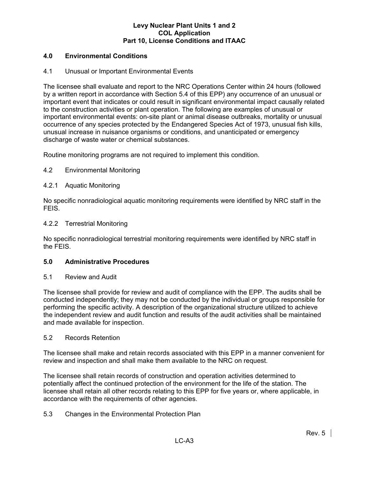# **4.0 Environmental Conditions**

# 4.1 Unusual or Important Environmental Events

The licensee shall evaluate and report to the NRC Operations Center within 24 hours (followed by a written report in accordance with Section 5.4 of this EPP) any occurrence of an unusual or important event that indicates or could result in significant environmental impact causally related to the construction activities or plant operation. The following are examples of unusual or important environmental events: on-site plant or animal disease outbreaks, mortality or unusual occurrence of any species protected by the Endangered Species Act of 1973, unusual fish kills, unusual increase in nuisance organisms or conditions, and unanticipated or emergency discharge of waste water or chemical substances.

Routine monitoring programs are not required to implement this condition.

# 4.2 Environmental Monitoring

# 4.2.1 Aquatic Monitoring

No specific nonradiological aquatic monitoring requirements were identified by NRC staff in the FEIS.

#### 4.2.2 Terrestrial Monitoring

No specific nonradiological terrestrial monitoring requirements were identified by NRC staff in the FEIS.

#### **5.0 Administrative Procedures**

#### 5.1 Review and Audit

The licensee shall provide for review and audit of compliance with the EPP. The audits shall be conducted independently; they may not be conducted by the individual or groups responsible for performing the specific activity. A description of the organizational structure utilized to achieve the independent review and audit function and results of the audit activities shall be maintained and made available for inspection.

#### 5.2 Records Retention

The licensee shall make and retain records associated with this EPP in a manner convenient for review and inspection and shall make them available to the NRC on request.

The licensee shall retain records of construction and operation activities determined to potentially affect the continued protection of the environment for the life of the station. The licensee shall retain all other records relating to this EPP for five years or, where applicable, in accordance with the requirements of other agencies.

# 5.3 Changes in the Environmental Protection Plan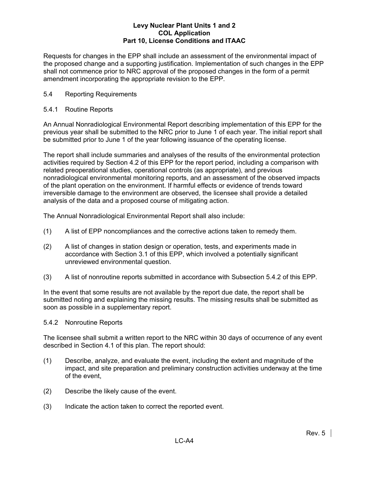Requests for changes in the EPP shall include an assessment of the environmental impact of the proposed change and a supporting justification. Implementation of such changes in the EPP shall not commence prior to NRC approval of the proposed changes in the form of a permit amendment incorporating the appropriate revision to the EPP.

# 5.4 Reporting Requirements

# 5.4.1 Routine Reports

An Annual Nonradiological Environmental Report describing implementation of this EPP for the previous year shall be submitted to the NRC prior to June 1 of each year. The initial report shall be submitted prior to June 1 of the year following issuance of the operating license.

The report shall include summaries and analyses of the results of the environmental protection activities required by Section 4.2 of this EPP for the report period, including a comparison with related preoperational studies, operational controls (as appropriate), and previous nonradiological environmental monitoring reports, and an assessment of the observed impacts of the plant operation on the environment. If harmful effects or evidence of trends toward irreversible damage to the environment are observed, the licensee shall provide a detailed analysis of the data and a proposed course of mitigating action.

The Annual Nonradiological Environmental Report shall also include:

- (1) A list of EPP noncompliances and the corrective actions taken to remedy them.
- (2) A list of changes in station design or operation, tests, and experiments made in accordance with Section 3.1 of this EPP, which involved a potentially significant unreviewed environmental question.
- (3) A list of nonroutine reports submitted in accordance with Subsection 5.4.2 of this EPP.

In the event that some results are not available by the report due date, the report shall be submitted noting and explaining the missing results. The missing results shall be submitted as soon as possible in a supplementary report.

# 5.4.2 Nonroutine Reports

The licensee shall submit a written report to the NRC within 30 days of occurrence of any event described in Section 4.1 of this plan. The report should:

- (1) Describe, analyze, and evaluate the event, including the extent and magnitude of the impact, and site preparation and preliminary construction activities underway at the time of the event,
- (2) Describe the likely cause of the event.
- (3) Indicate the action taken to correct the reported event.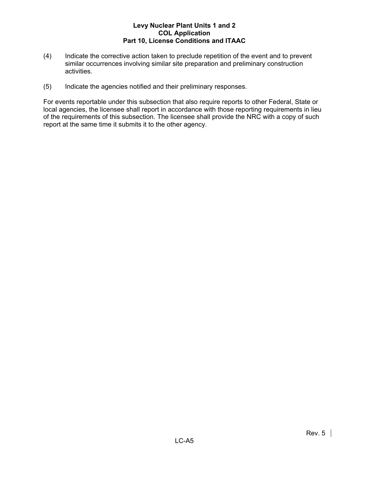- (4) Indicate the corrective action taken to preclude repetition of the event and to prevent similar occurrences involving similar site preparation and preliminary construction activities.
- (5) Indicate the agencies notified and their preliminary responses.

For events reportable under this subsection that also require reports to other Federal, State or local agencies, the licensee shall report in accordance with those reporting requirements in lieu of the requirements of this subsection. The licensee shall provide the NRC with a copy of such report at the same time it submits it to the other agency.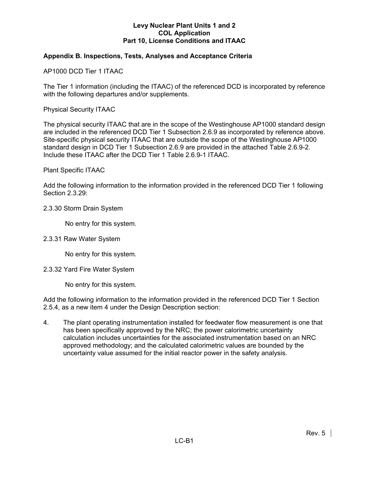# **Appendix B. Inspections, Tests, Analyses and Acceptance Criteria**

AP1000 DCD Tier 1 ITAAC

The Tier 1 information (including the ITAAC) of the referenced DCD is incorporated by reference with the following departures and/or supplements.

Physical Security ITAAC

The physical security ITAAC that are in the scope of the Westinghouse AP1000 standard design are included in the referenced DCD Tier 1 Subsection 2.6.9 as incorporated by reference above. Site-specific physical security ITAAC that are outside the scope of the Westinghouse AP1000 standard design in DCD Tier 1 Subsection 2.6.9 are provided in the attached Table 2.6.9-2. Include these ITAAC after the DCD Tier 1 Table 2.6.9-1 ITAAC.

#### Plant Specific ITAAC

Add the following information to the information provided in the referenced DCD Tier 1 following Section 2.3.29:

#### 2.3.30 Storm Drain System

No entry for this system.

#### 2.3.31 Raw Water System

No entry for this system.

#### 2.3.32 Yard Fire Water System

No entry for this system.

Add the following information to the information provided in the referenced DCD Tier 1 Section 2.5.4, as a new item 4 under the Design Description section:

4. The plant operating instrumentation installed for feedwater flow measurement is one that has been specifically approved by the NRC; the power calorimetric uncertainty calculation includes uncertainties for the associated instrumentation based on an NRC approved methodology; and the calculated calorimetric values are bounded by the uncertainty value assumed for the initial reactor power in the safety analysis.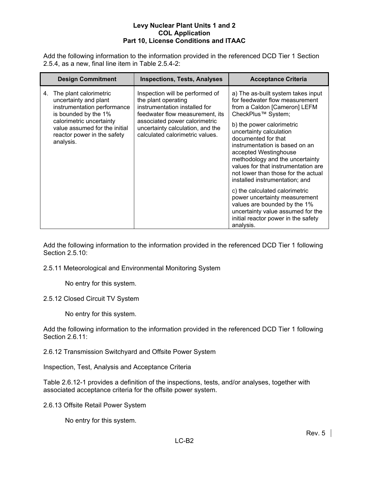Add the following information to the information provided in the referenced DCD Tier 1 Section 2.5.4, as a new, final line item in Table 2.5.4-2:

| <b>Design Commitment</b>                                                                                                                                                                                              | <b>Inspections, Tests, Analyses</b>                                                                                                                                                                                                | <b>Acceptance Criteria</b>                                                                                                                                                                                                                                                                                                                                                                                                                                                                                                                                                                                          |
|-----------------------------------------------------------------------------------------------------------------------------------------------------------------------------------------------------------------------|------------------------------------------------------------------------------------------------------------------------------------------------------------------------------------------------------------------------------------|---------------------------------------------------------------------------------------------------------------------------------------------------------------------------------------------------------------------------------------------------------------------------------------------------------------------------------------------------------------------------------------------------------------------------------------------------------------------------------------------------------------------------------------------------------------------------------------------------------------------|
| The plant calorimetric<br>4.<br>uncertainty and plant<br>instrumentation performance<br>is bounded by the 1%<br>calorimetric uncertainty<br>value assumed for the initial<br>reactor power in the safety<br>analysis. | Inspection will be performed of<br>the plant operating<br>instrumentation installed for<br>feedwater flow measurement, its<br>associated power calorimetric<br>uncertainty calculation, and the<br>calculated calorimetric values. | a) The as-built system takes input<br>for feedwater flow measurement<br>from a Caldon [Cameron] LEFM<br>CheckPlus™ System;<br>b) the power calorimetric<br>uncertainty calculation<br>documented for that<br>instrumentation is based on an<br>accepted Westinghouse<br>methodology and the uncertainty<br>values for that instrumentation are<br>not lower than those for the actual<br>installed instrumentation; and<br>c) the calculated calorimetric<br>power uncertainty measurement<br>values are bounded by the 1%<br>uncertainty value assumed for the<br>initial reactor power in the safety<br>analysis. |

Add the following information to the information provided in the referenced DCD Tier 1 following Section 2.5.10:

2.5.11 Meteorological and Environmental Monitoring System

No entry for this system.

2.5.12 Closed Circuit TV System

No entry for this system.

Add the following information to the information provided in the referenced DCD Tier 1 following Section 2.6.11:

2.6.12 Transmission Switchyard and Offsite Power System

Inspection, Test, Analysis and Acceptance Criteria

Table 2.6.12-1 provides a definition of the inspections, tests, and/or analyses, together with associated acceptance criteria for the offsite power system.

2.6.13 Offsite Retail Power System

No entry for this system.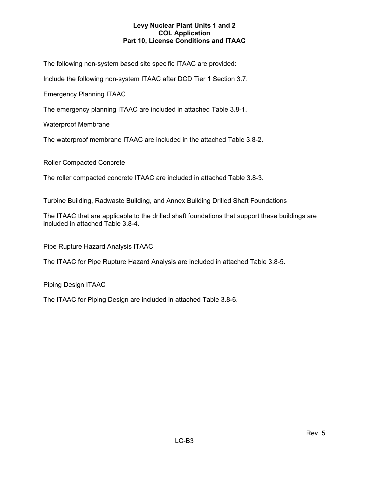The following non-system based site specific ITAAC are provided:

Include the following non-system ITAAC after DCD Tier 1 Section 3.7.

Emergency Planning ITAAC

The emergency planning ITAAC are included in attached Table 3.8-1.

Waterproof Membrane

The waterproof membrane ITAAC are included in the attached Table 3.8-2.

Roller Compacted Concrete

The roller compacted concrete ITAAC are included in attached Table 3.8-3.

Turbine Building, Radwaste Building, and Annex Building Drilled Shaft Foundations

The ITAAC that are applicable to the drilled shaft foundations that support these buildings are included in attached Table 3.8-4.

Pipe Rupture Hazard Analysis ITAAC

The ITAAC for Pipe Rupture Hazard Analysis are included in attached Table 3.8-5.

Piping Design ITAAC

The ITAAC for Piping Design are included in attached Table 3.8-6.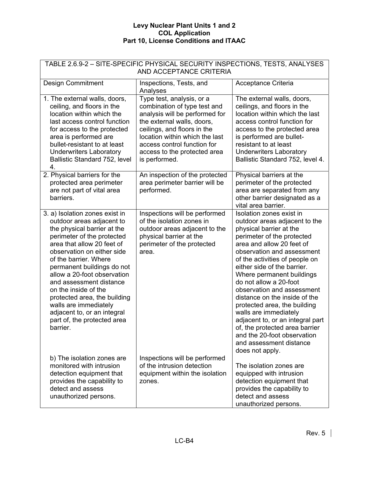| TABLE 2.6.9-2 - SITE-SPECIFIC PHYSICAL SECURITY INSPECTIONS, TESTS, ANALYSES<br>AND ACCEPTANCE CRITERIA                                                                                                                                                                                                                                                                                                                                                          |                                                                                                                                                                                                                                                                            |                                                                                                                                                                                                                                                                                                                                                                                                                                                                                                                                                                                  |  |  |
|------------------------------------------------------------------------------------------------------------------------------------------------------------------------------------------------------------------------------------------------------------------------------------------------------------------------------------------------------------------------------------------------------------------------------------------------------------------|----------------------------------------------------------------------------------------------------------------------------------------------------------------------------------------------------------------------------------------------------------------------------|----------------------------------------------------------------------------------------------------------------------------------------------------------------------------------------------------------------------------------------------------------------------------------------------------------------------------------------------------------------------------------------------------------------------------------------------------------------------------------------------------------------------------------------------------------------------------------|--|--|
| <b>Design Commitment</b>                                                                                                                                                                                                                                                                                                                                                                                                                                         | Inspections, Tests, and<br>Analyses                                                                                                                                                                                                                                        | Acceptance Criteria                                                                                                                                                                                                                                                                                                                                                                                                                                                                                                                                                              |  |  |
| 1. The external walls, doors,<br>ceiling, and floors in the<br>location within which the<br>last access control function<br>for access to the protected<br>area is performed are<br>bullet-resistant to at least<br><b>Underwriters Laboratory</b><br>Ballistic Standard 752, level<br>4.                                                                                                                                                                        | Type test, analysis, or a<br>combination of type test and<br>analysis will be performed for<br>the external walls, doors,<br>ceilings, and floors in the<br>location within which the last<br>access control function for<br>access to the protected area<br>is performed. | The external walls, doors,<br>ceilings, and floors in the<br>location within which the last<br>access control function for<br>access to the protected area<br>is performed are bullet-<br>resistant to at least<br><b>Underwriters Laboratory</b><br>Ballistic Standard 752, level 4.                                                                                                                                                                                                                                                                                            |  |  |
| 2. Physical barriers for the<br>protected area perimeter<br>are not part of vital area<br>barriers.                                                                                                                                                                                                                                                                                                                                                              | An inspection of the protected<br>area perimeter barrier will be<br>performed.                                                                                                                                                                                             | Physical barriers at the<br>perimeter of the protected<br>area are separated from any<br>other barrier designated as a<br>vital area barrier.                                                                                                                                                                                                                                                                                                                                                                                                                                    |  |  |
| 3. a) Isolation zones exist in<br>outdoor areas adjacent to<br>the physical barrier at the<br>perimeter of the protected<br>area that allow 20 feet of<br>observation on either side<br>of the barrier. Where<br>permanent buildings do not<br>allow a 20-foot observation<br>and assessment distance<br>on the inside of the<br>protected area, the building<br>walls are immediately<br>adjacent to, or an integral<br>part of, the protected area<br>barrier. | Inspections will be performed<br>of the isolation zones in<br>outdoor areas adjacent to the<br>physical barrier at the<br>perimeter of the protected<br>area.                                                                                                              | Isolation zones exist in<br>outdoor areas adjacent to the<br>physical barrier at the<br>perimeter of the protected<br>area and allow 20 feet of<br>observation and assessment<br>of the activities of people on<br>either side of the barrier.<br>Where permanent buildings<br>do not allow a 20-foot<br>observation and assessment<br>distance on the inside of the<br>protected area, the building<br>walls are immediately<br>adjacent to, or an integral part<br>of, the protected area barrier<br>and the 20-foot observation<br>and assessment distance<br>does not apply. |  |  |
| b) The isolation zones are<br>monitored with intrusion<br>detection equipment that<br>provides the capability to<br>detect and assess<br>unauthorized persons.                                                                                                                                                                                                                                                                                                   | Inspections will be performed<br>of the intrusion detection<br>equipment within the isolation<br>zones.                                                                                                                                                                    | The isolation zones are<br>equipped with intrusion<br>detection equipment that<br>provides the capability to<br>detect and assess<br>unauthorized persons.                                                                                                                                                                                                                                                                                                                                                                                                                       |  |  |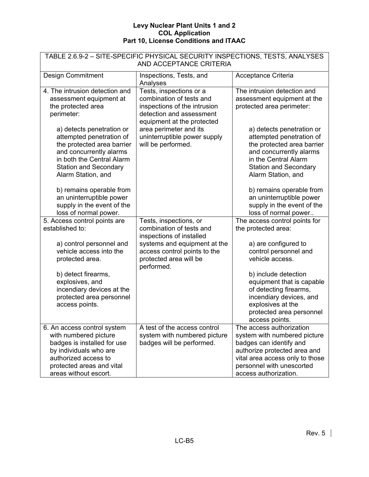| TABLE 2.6.9-2 - SITE-SPECIFIC PHYSICAL SECURITY INSPECTIONS, TESTS, ANALYSES |                                      |                                                              |  |  |
|------------------------------------------------------------------------------|--------------------------------------|--------------------------------------------------------------|--|--|
| AND ACCEPTANCE CRITERIA                                                      |                                      |                                                              |  |  |
| <b>Design Commitment</b>                                                     | Inspections, Tests, and              | Acceptance Criteria                                          |  |  |
|                                                                              | Analyses                             |                                                              |  |  |
| 4. The intrusion detection and                                               | Tests, inspections or a              | The intrusion detection and                                  |  |  |
| assessment equipment at                                                      | combination of tests and             | assessment equipment at the                                  |  |  |
| the protected area                                                           | inspections of the intrusion         | protected area perimeter:                                    |  |  |
| perimeter:                                                                   | detection and assessment             |                                                              |  |  |
|                                                                              | equipment at the protected           |                                                              |  |  |
| a) detects penetration or                                                    | area perimeter and its               | a) detects penetration or                                    |  |  |
| attempted penetration of                                                     | uninterruptible power supply         | attempted penetration of                                     |  |  |
| the protected area barrier<br>and concurrently alarms                        | will be performed.                   | the protected area barrier<br>and concurrently alarms        |  |  |
| in both the Central Alarm                                                    |                                      | in the Central Alarm                                         |  |  |
| <b>Station and Secondary</b>                                                 |                                      | <b>Station and Secondary</b>                                 |  |  |
| Alarm Station, and                                                           |                                      | Alarm Station, and                                           |  |  |
|                                                                              |                                      |                                                              |  |  |
| b) remains operable from                                                     |                                      | b) remains operable from                                     |  |  |
| an uninterruptible power                                                     |                                      | an uninterruptible power                                     |  |  |
| supply in the event of the                                                   |                                      | supply in the event of the                                   |  |  |
| loss of normal power.                                                        |                                      | loss of normal power                                         |  |  |
| 5. Access control points are                                                 | Tests, inspections, or               | The access control points for                                |  |  |
| established to:                                                              | combination of tests and             | the protected area:                                          |  |  |
|                                                                              | inspections of installed             |                                                              |  |  |
| a) control personnel and                                                     | systems and equipment at the         | a) are configured to                                         |  |  |
| vehicle access into the                                                      | access control points to the         | control personnel and<br>vehicle access.                     |  |  |
| protected area.                                                              | protected area will be<br>performed. |                                                              |  |  |
| b) detect firearms,                                                          |                                      | b) include detection                                         |  |  |
| explosives, and                                                              |                                      | equipment that is capable                                    |  |  |
| incendiary devices at the                                                    |                                      | of detecting firearms,                                       |  |  |
| protected area personnel                                                     |                                      | incendiary devices, and                                      |  |  |
| access points.                                                               |                                      | explosives at the                                            |  |  |
|                                                                              |                                      | protected area personnel                                     |  |  |
|                                                                              |                                      | access points.                                               |  |  |
| 6. An access control system                                                  | A test of the access control         | The access authorization                                     |  |  |
| with numbered picture                                                        | system with numbered picture         | system with numbered picture                                 |  |  |
| badges is installed for use                                                  | badges will be performed.            | badges can identify and                                      |  |  |
| by individuals who are<br>authorized access to                               |                                      | authorize protected area and                                 |  |  |
| protected areas and vital                                                    |                                      | vital area access only to those<br>personnel with unescorted |  |  |
| areas without escort.                                                        |                                      | access authorization.                                        |  |  |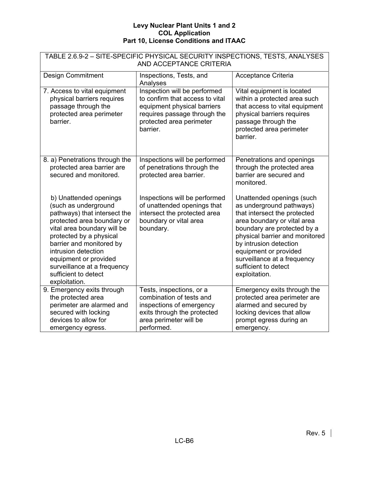| TABLE 2.6.9-2 - SITE-SPECIFIC PHYSICAL SECURITY INSPECTIONS, TESTS, ANALYSES<br>AND ACCEPTANCE CRITERIA                                                                                                                                                                                                                    |                                                                                                                                                                        |                                                                                                                                                                                                                                                                                                                  |  |  |
|----------------------------------------------------------------------------------------------------------------------------------------------------------------------------------------------------------------------------------------------------------------------------------------------------------------------------|------------------------------------------------------------------------------------------------------------------------------------------------------------------------|------------------------------------------------------------------------------------------------------------------------------------------------------------------------------------------------------------------------------------------------------------------------------------------------------------------|--|--|
| <b>Design Commitment</b><br>Inspections, Tests, and<br>Acceptance Criteria<br>Analyses                                                                                                                                                                                                                                     |                                                                                                                                                                        |                                                                                                                                                                                                                                                                                                                  |  |  |
| 7. Access to vital equipment<br>physical barriers requires<br>passage through the<br>protected area perimeter<br>barrier.                                                                                                                                                                                                  | Inspection will be performed<br>to confirm that access to vital<br>equipment physical barriers<br>requires passage through the<br>protected area perimeter<br>barrier. | Vital equipment is located<br>within a protected area such<br>that access to vital equipment<br>physical barriers requires<br>passage through the<br>protected area perimeter<br>barrier.                                                                                                                        |  |  |
| 8. a) Penetrations through the<br>protected area barrier are<br>secured and monitored.                                                                                                                                                                                                                                     | Inspections will be performed<br>of penetrations through the<br>protected area barrier.                                                                                | Penetrations and openings<br>through the protected area<br>barrier are secured and<br>monitored.                                                                                                                                                                                                                 |  |  |
| b) Unattended openings<br>(such as underground<br>pathways) that intersect the<br>protected area boundary or<br>vital area boundary will be<br>protected by a physical<br>barrier and monitored by<br>intrusion detection<br>equipment or provided<br>surveillance at a frequency<br>sufficient to detect<br>exploitation. | Inspections will be performed<br>of unattended openings that<br>intersect the protected area<br>boundary or vital area<br>boundary.                                    | Unattended openings (such<br>as underground pathways)<br>that intersect the protected<br>area boundary or vital area<br>boundary are protected by a<br>physical barrier and monitored<br>by intrusion detection<br>equipment or provided<br>surveillance at a frequency<br>sufficient to detect<br>exploitation. |  |  |
| 9. Emergency exits through<br>the protected area<br>perimeter are alarmed and<br>secured with locking<br>devices to allow for<br>emergency egress.                                                                                                                                                                         | Tests, inspections, or a<br>combination of tests and<br>inspections of emergency<br>exits through the protected<br>area perimeter will be<br>performed.                | Emergency exits through the<br>protected area perimeter are<br>alarmed and secured by<br>locking devices that allow<br>prompt egress during an<br>emergency.                                                                                                                                                     |  |  |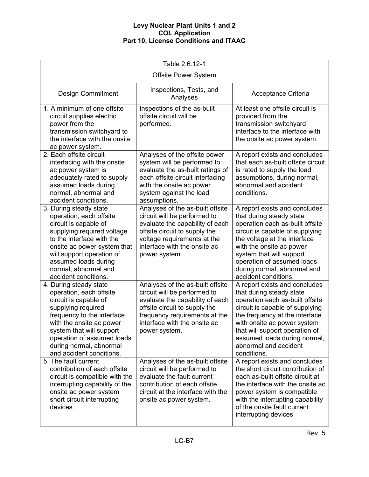| Table 2.6.12-1                                                                                                                                                                                                                                                              |                                                                                                                                                                                                                        |                                                                                                                                                                                                                                                                                                              |  |  |
|-----------------------------------------------------------------------------------------------------------------------------------------------------------------------------------------------------------------------------------------------------------------------------|------------------------------------------------------------------------------------------------------------------------------------------------------------------------------------------------------------------------|--------------------------------------------------------------------------------------------------------------------------------------------------------------------------------------------------------------------------------------------------------------------------------------------------------------|--|--|
| <b>Offsite Power System</b>                                                                                                                                                                                                                                                 |                                                                                                                                                                                                                        |                                                                                                                                                                                                                                                                                                              |  |  |
| Inspections, Tests, and<br><b>Design Commitment</b><br>Acceptance Criteria<br>Analyses                                                                                                                                                                                      |                                                                                                                                                                                                                        |                                                                                                                                                                                                                                                                                                              |  |  |
| 1. A minimum of one offsite<br>circuit supplies electric<br>power from the<br>transmission switchyard to<br>the interface with the onsite<br>ac power system.                                                                                                               | Inspections of the as-built<br>offsite circuit will be<br>performed.                                                                                                                                                   | At least one offsite circuit is<br>provided from the<br>transmission switchyard<br>interface to the interface with<br>the onsite ac power system.                                                                                                                                                            |  |  |
| 2. Each offsite circuit<br>interfacing with the onsite<br>ac power system is<br>adequately rated to supply<br>assumed loads during<br>normal, abnormal and<br>accident conditions.                                                                                          | Analyses of the offsite power<br>system will be performed to<br>evaluate the as-built ratings of<br>each offsite circuit interfacing<br>with the onsite ac power<br>system against the load<br>assumptions.            | A report exists and concludes<br>that each as-built offsite circuit<br>is rated to supply the load<br>assumptions, during normal,<br>abnormal and accident<br>conditions.                                                                                                                                    |  |  |
| 3. During steady state<br>operation, each offsite<br>circuit is capable of<br>supplying required voltage<br>to the interface with the<br>onsite ac power system that<br>will support operation of<br>assumed loads during<br>normal, abnormal and<br>accident conditions.   | Analyses of the as-built offsite<br>circuit will be performed to<br>evaluate the capability of each<br>offsite circuit to supply the<br>voltage requirements at the<br>interface with the onsite ac<br>power system.   | A report exists and concludes<br>that during steady state<br>operation each as-built offsite<br>circuit is capable of supplying<br>the voltage at the interface<br>with the onsite ac power<br>system that will support<br>operation of assumed loads<br>during normal, abnormal and<br>accident conditions. |  |  |
| 4. During steady state<br>operation, each offsite<br>circuit is capable of<br>supplying required<br>frequency to the interface<br>with the onsite ac power<br>system that will support<br>operation of assumed loads<br>during normal, abnormal<br>and accident conditions. | Analyses of the as-built offsite<br>circuit will be performed to<br>evaluate the capability of each<br>offsite circuit to supply the<br>frequency requirements at the<br>interface with the onsite ac<br>power system. | A report exists and concludes<br>that during steady state<br>operation each as-built offsite<br>circuit is capable of supplying<br>the frequency at the interface<br>with onsite ac power system<br>that will support operation of<br>assumed loads during normal,<br>abnormal and accident<br>conditions.   |  |  |
| 5. The fault current<br>contribution of each offsite<br>circuit is compatible with the<br>interrupting capability of the<br>onsite ac power system<br>short circuit interrupting<br>devices.                                                                                | Analyses of the as-built offsite<br>circuit will be performed to<br>evaluate the fault current<br>contribution of each offsite<br>circuit at the interface with the<br>onsite ac power system.                         | A report exists and concludes<br>the short circuit contribution of<br>each as-built offsite circuit at<br>the interface with the onsite ac<br>power system is compatible<br>with the interrupting capability<br>of the onsite fault current<br>interrupting devices                                          |  |  |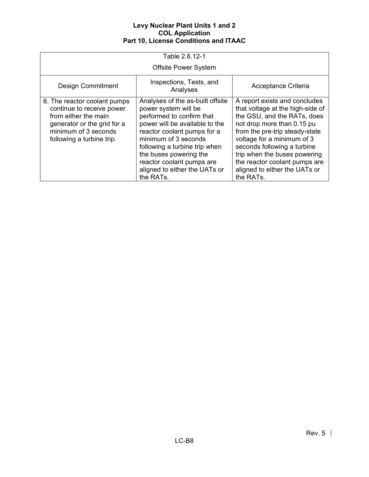| Table 2.6.12-1                                                                                                                                                        |                                                                                                                                                                                                                                                                                                                      |                                                                                                                                                                                                                                                                                                                                              |  |  |
|-----------------------------------------------------------------------------------------------------------------------------------------------------------------------|----------------------------------------------------------------------------------------------------------------------------------------------------------------------------------------------------------------------------------------------------------------------------------------------------------------------|----------------------------------------------------------------------------------------------------------------------------------------------------------------------------------------------------------------------------------------------------------------------------------------------------------------------------------------------|--|--|
|                                                                                                                                                                       | <b>Offsite Power System</b>                                                                                                                                                                                                                                                                                          |                                                                                                                                                                                                                                                                                                                                              |  |  |
| <b>Design Commitment</b>                                                                                                                                              | Acceptance Criteria                                                                                                                                                                                                                                                                                                  |                                                                                                                                                                                                                                                                                                                                              |  |  |
| 6. The reactor coolant pumps<br>continue to receive power<br>from either the main<br>generator or the grid for a<br>minimum of 3 seconds<br>following a turbine trip. | Analyses of the as-built offsite<br>power system will be<br>performed to confirm that<br>power will be available to the<br>reactor coolant pumps for a<br>minimum of 3 seconds<br>following a turbine trip when<br>the buses powering the<br>reactor coolant pumps are<br>aligned to either the UATs or<br>the RATs. | A report exists and concludes<br>that voltage at the high-side of<br>the GSU, and the RATs, does<br>not drop more than 0.15 pu<br>from the pre-trip steady-state<br>voltage for a minimum of 3<br>seconds following a turbine<br>trip when the buses powering<br>the reactor coolant pumps are<br>aligned to either the UATs or<br>the RATs. |  |  |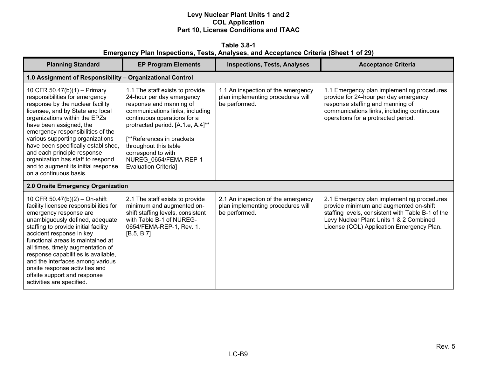**Table 3.8-1 Emergency Plan Inspections, Tests, Analyses, and Acceptance Criteria (Sheet 1 of 29)** 

| <b>Planning Standard</b>                                                                                                                                                                                                                                                                                                                                                                                                                                     | <b>EP Program Elements</b>                                                                                                                                                                                                                                                                                                          | <b>Inspections, Tests, Analyses</b>                                                      | <b>Acceptance Criteria</b>                                                                                                                                                                                                        |  |  |
|--------------------------------------------------------------------------------------------------------------------------------------------------------------------------------------------------------------------------------------------------------------------------------------------------------------------------------------------------------------------------------------------------------------------------------------------------------------|-------------------------------------------------------------------------------------------------------------------------------------------------------------------------------------------------------------------------------------------------------------------------------------------------------------------------------------|------------------------------------------------------------------------------------------|-----------------------------------------------------------------------------------------------------------------------------------------------------------------------------------------------------------------------------------|--|--|
|                                                                                                                                                                                                                                                                                                                                                                                                                                                              | 1.0 Assignment of Responsibility - Organizational Control                                                                                                                                                                                                                                                                           |                                                                                          |                                                                                                                                                                                                                                   |  |  |
| 10 CFR 50.47(b)(1) - Primary<br>responsibilities for emergency<br>response by the nuclear facility<br>licensee, and by State and local<br>organizations within the EPZs<br>have been assigned, the<br>emergency responsibilities of the<br>various supporting organizations<br>have been specifically established,<br>and each principle response<br>organization has staff to respond<br>and to augment its initial response<br>on a continuous basis.      | 1.1 The staff exists to provide<br>24-hour per day emergency<br>response and manning of<br>communications links, including<br>continuous operations for a<br>protracted period. [A.1.e, A.4]**<br>[**References in brackets]<br>throughout this table<br>correspond to with<br>NUREG 0654/FEMA-REP-1<br><b>Evaluation Criterial</b> | 1.1 An inspection of the emergency<br>plan implementing procedures will<br>be performed. | 1.1 Emergency plan implementing procedures<br>provide for 24-hour per day emergency<br>response staffing and manning of<br>communications links, including continuous<br>operations for a protracted period.                      |  |  |
| 2.0 Onsite Emergency Organization                                                                                                                                                                                                                                                                                                                                                                                                                            |                                                                                                                                                                                                                                                                                                                                     |                                                                                          |                                                                                                                                                                                                                                   |  |  |
| 10 CFR 50.47(b)(2) - On-shift<br>facility licensee responsibilities for<br>emergency response are<br>unambiguously defined, adequate<br>staffing to provide initial facility<br>accident response in key<br>functional areas is maintained at<br>all times, timely augmentation of<br>response capabilities is available,<br>and the interfaces among various<br>onsite response activities and<br>offsite support and response<br>activities are specified. | 2.1 The staff exists to provide<br>minimum and augmented on-<br>shift staffing levels, consistent<br>with Table B-1 of NUREG-<br>0654/FEMA-REP-1, Rev. 1.<br>[B.5, B.7]                                                                                                                                                             | 2.1 An inspection of the emergency<br>plan implementing procedures will<br>be performed. | 2.1 Emergency plan implementing procedures<br>provide minimum and augmented on-shift<br>staffing levels, consistent with Table B-1 of the<br>Levy Nuclear Plant Units 1 & 2 Combined<br>License (COL) Application Emergency Plan. |  |  |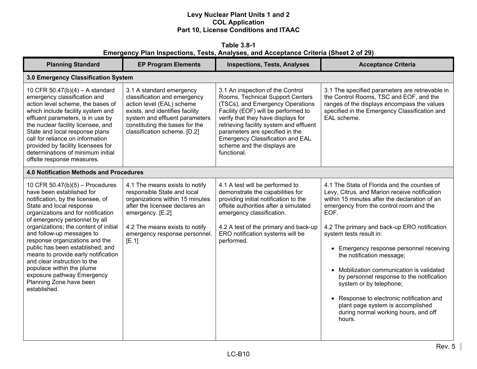**Table 3.8-1 Emergency Plan Inspections, Tests, Analyses, and Acceptance Criteria (Sheet 2 of 29)** 

| <b>Planning Standard</b>                                                                                                                                                                                                                                                                                                                                                                                                                                                                                                        | <b>EP Program Elements</b>                                                                                                                                                                                                         | <b>Inspections, Tests, Analyses</b>                                                                                                                                                                                                                                                                                                                   | <b>Acceptance Criteria</b>                                                                                                                                                                                                                                                                                                                                                                                                                                                                                                                                                                                     |
|---------------------------------------------------------------------------------------------------------------------------------------------------------------------------------------------------------------------------------------------------------------------------------------------------------------------------------------------------------------------------------------------------------------------------------------------------------------------------------------------------------------------------------|------------------------------------------------------------------------------------------------------------------------------------------------------------------------------------------------------------------------------------|-------------------------------------------------------------------------------------------------------------------------------------------------------------------------------------------------------------------------------------------------------------------------------------------------------------------------------------------------------|----------------------------------------------------------------------------------------------------------------------------------------------------------------------------------------------------------------------------------------------------------------------------------------------------------------------------------------------------------------------------------------------------------------------------------------------------------------------------------------------------------------------------------------------------------------------------------------------------------------|
| 3.0 Emergency Classification System                                                                                                                                                                                                                                                                                                                                                                                                                                                                                             |                                                                                                                                                                                                                                    |                                                                                                                                                                                                                                                                                                                                                       |                                                                                                                                                                                                                                                                                                                                                                                                                                                                                                                                                                                                                |
| 10 CFR 50.47(b)(4) - A standard<br>emergency classification and<br>action level scheme, the bases of<br>which include facility system and<br>effluent parameters, is in use by<br>the nuclear facility licensee, and<br>State and local response plans<br>call for reliance on information<br>provided by facility licensees for<br>determinations of minimum initial<br>offsite response measures.                                                                                                                             | 3.1 A standard emergency<br>classification and emergency<br>action level (EAL) scheme<br>exists, and identifies facility<br>system and effluent parameters<br>constituting the bases for the<br>classification scheme. [D.2]       | 3.1 An inspection of the Control<br>Rooms, Technical Support Centers<br>(TSCs), and Emergency Operations<br>Facility (EOF) will be performed to<br>verify that they have displays for<br>retrieving facility system and effluent<br>parameters are specified in the<br>Emergency Classification and EAL<br>scheme and the displays are<br>functional. | 3.1 The specified parameters are retrievable in<br>the Control Rooms, TSC and EOF, and the<br>ranges of the displays encompass the values<br>specified in the Emergency Classification and<br>EAL scheme.                                                                                                                                                                                                                                                                                                                                                                                                      |
| <b>4.0 Notification Methods and Procedures</b>                                                                                                                                                                                                                                                                                                                                                                                                                                                                                  |                                                                                                                                                                                                                                    |                                                                                                                                                                                                                                                                                                                                                       |                                                                                                                                                                                                                                                                                                                                                                                                                                                                                                                                                                                                                |
| 10 CFR $50.47(b)(5)$ – Procedures<br>have been established for<br>notification, by the licensee, of<br>State and local response<br>organizations and for notification<br>of emergency personnel by all<br>organizations; the content of initial<br>and follow-up messages to<br>response organizations and the<br>public has been established; and<br>means to provide early notification<br>and clear instruction to the<br>populace within the plume<br>exposure pathway Emergency<br>Planning Zone have been<br>established. | 4.1 The means exists to notify<br>responsible State and local<br>organizations within 15 minutes<br>after the licensee declares an<br>emergency. [E.2]<br>4.2 The means exists to notify<br>emergency response personnel.<br>[E.1] | 4.1 A test will be performed to<br>demonstrate the capabilities for<br>providing initial notification to the<br>offsite authorities after a simulated<br>emergency classification.<br>4.2 A test of the primary and back-up<br>ERO notification systems will be<br>performed.                                                                         | 4.1 The State of Florida and the counties of<br>Levy, Citrus, and Marion receive notification<br>within 15 minutes after the declaration of an<br>emergency from the control room and the<br>EOF.<br>4.2 The primary and back-up ERO notification<br>system tests result in:<br>• Emergency response personnel receiving<br>the notification message;<br>• Mobilization communication is validated<br>by personnel response to the notification<br>system or by telephone;<br>• Response to electronic notification and<br>plant page system is accomplished<br>during normal working hours, and off<br>hours. |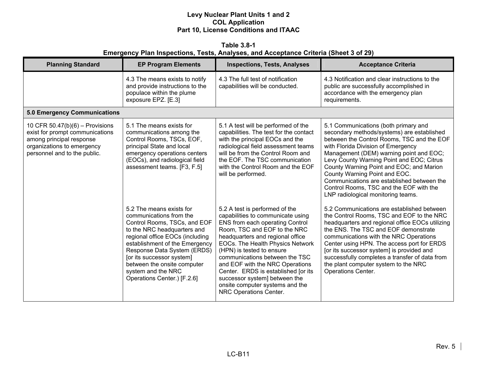**Table 3.8-1 Emergency Plan Inspections, Tests, Analyses, and Acceptance Criteria (Sheet 3 of 29)** 

| <b>Planning Standard</b>                                                                                                                                       | <b>EP Program Elements</b>                                                                                                                                                                                                                                                                                                              | <b>Inspections, Tests, Analyses</b>                                                                                                                                                                                                                                                                                                                                                                                                                   | <b>Acceptance Criteria</b>                                                                                                                                                                                                                                                                                                                                                                                                                                                 |
|----------------------------------------------------------------------------------------------------------------------------------------------------------------|-----------------------------------------------------------------------------------------------------------------------------------------------------------------------------------------------------------------------------------------------------------------------------------------------------------------------------------------|-------------------------------------------------------------------------------------------------------------------------------------------------------------------------------------------------------------------------------------------------------------------------------------------------------------------------------------------------------------------------------------------------------------------------------------------------------|----------------------------------------------------------------------------------------------------------------------------------------------------------------------------------------------------------------------------------------------------------------------------------------------------------------------------------------------------------------------------------------------------------------------------------------------------------------------------|
|                                                                                                                                                                | 4.3 The means exists to notify<br>and provide instructions to the<br>populace within the plume<br>exposure EPZ. [E.3]                                                                                                                                                                                                                   | 4.3 The full test of notification<br>capabilities will be conducted.                                                                                                                                                                                                                                                                                                                                                                                  | 4.3 Notification and clear instructions to the<br>public are successfully accomplished in<br>accordance with the emergency plan<br>requirements.                                                                                                                                                                                                                                                                                                                           |
| <b>5.0 Emergency Communications</b>                                                                                                                            |                                                                                                                                                                                                                                                                                                                                         |                                                                                                                                                                                                                                                                                                                                                                                                                                                       |                                                                                                                                                                                                                                                                                                                                                                                                                                                                            |
| 10 CFR $50.47(b)(6)$ – Provisions<br>exist for prompt communications<br>among principal response<br>organizations to emergency<br>personnel and to the public. | 5.1 The means exists for<br>communications among the<br>Control Rooms, TSCs, EOF,<br>principal State and local<br>emergency operations centers<br>(EOCs), and radiological field<br>assessment teams. [F3, F.5]                                                                                                                         | 5.1 A test will be performed of the<br>capabilities. The test for the contact<br>with the principal EOCs and the<br>radiological field assessment teams<br>will be from the Control Room and<br>the EOF. The TSC communication<br>with the Control Room and the EOF<br>will be performed.                                                                                                                                                             | 5.1 Communications (both primary and<br>secondary methods/systems) are established<br>between the Control Rooms, TSC and the EOF<br>with Florida Division of Emergency<br>Management (DEM) warning point and EOC;<br>Levy County Warning Point and EOC; Citrus<br>County Warning Point and EOC; and Marion<br>County Warning Point and EOC.<br>Communications are established between the<br>Control Rooms, TSC and the EOF with the<br>LNP radiological monitoring teams. |
|                                                                                                                                                                | 5.2 The means exists for<br>communications from the<br>Control Rooms, TSCs, and EOF<br>to the NRC headquarters and<br>regional office EOCs (including<br>establishment of the Emergency<br>Response Data System (ERDS)<br>[or its successor system]<br>between the onsite computer<br>system and the NRC<br>Operations Center.) [F.2.6] | 5.2 A test is performed of the<br>capabilities to communicate using<br>ENS from each operating Control<br>Room, TSC and EOF to the NRC<br>headquarters and regional office<br>EOCs. The Health Physics Network<br>(HPN) is tested to ensure<br>communications between the TSC<br>and EOF with the NRC Operations<br>Center. ERDS is established [or its<br>successor system] between the<br>onsite computer systems and the<br>NRC Operations Center. | 5.2 Communications are established between<br>the Control Rooms, TSC and EOF to the NRC<br>headquarters and regional office EOCs utilizing<br>the ENS. The TSC and EOF demonstrate<br>communications with the NRC Operations<br>Center using HPN. The access port for ERDS<br>[or its successor system] is provided and<br>successfully completes a transfer of data from<br>the plant computer system to the NRC<br>Operations Center.                                    |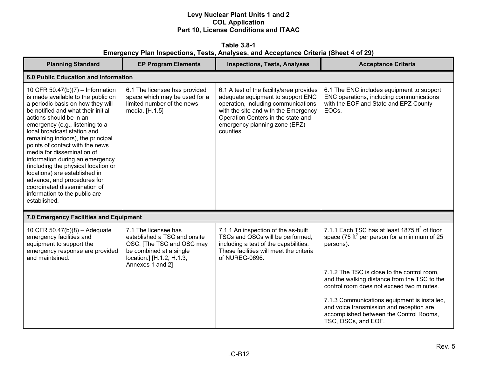**Table 3.8-1 Emergency Plan Inspections, Tests, Analyses, and Acceptance Criteria (Sheet 4 of 29)** 

| <b>Planning Standard</b>                                                                                                                                                                                                                                                                                                                                                                                                                                                                                                                                                        | <b>EP Program Elements</b>                                                                                                                                    | <b>Inspections, Tests, Analyses</b>                                                                                                                                                                                                              | <b>Acceptance Criteria</b>                                                                                                                                 |
|---------------------------------------------------------------------------------------------------------------------------------------------------------------------------------------------------------------------------------------------------------------------------------------------------------------------------------------------------------------------------------------------------------------------------------------------------------------------------------------------------------------------------------------------------------------------------------|---------------------------------------------------------------------------------------------------------------------------------------------------------------|--------------------------------------------------------------------------------------------------------------------------------------------------------------------------------------------------------------------------------------------------|------------------------------------------------------------------------------------------------------------------------------------------------------------|
| 6.0 Public Education and Information                                                                                                                                                                                                                                                                                                                                                                                                                                                                                                                                            |                                                                                                                                                               |                                                                                                                                                                                                                                                  |                                                                                                                                                            |
| 10 CFR 50.47(b)(7) – Information<br>is made available to the public on<br>a periodic basis on how they will<br>be notified and what their initial<br>actions should be in an<br>emergency (e.g., listening to a<br>local broadcast station and<br>remaining indoors), the principal<br>points of contact with the news<br>media for dissemination of<br>information during an emergency<br>(including the physical location or<br>locations) are established in<br>advance, and procedures for<br>coordinated dissemination of<br>information to the public are<br>established. | 6.1 The licensee has provided<br>space which may be used for a<br>limited number of the news<br>media. [H.1.5]                                                | 6.1 A test of the facility/area provides<br>adequate equipment to support ENC<br>operation, including communications<br>with the site and with the Emergency<br>Operation Centers in the state and<br>emergency planning zone (EPZ)<br>counties. | 6.1 The ENC includes equipment to support<br>ENC operations, including communications<br>with the EOF and State and EPZ County<br>EOC <sub>s</sub> .       |
| 7.0 Emergency Facilities and Equipment                                                                                                                                                                                                                                                                                                                                                                                                                                                                                                                                          |                                                                                                                                                               |                                                                                                                                                                                                                                                  |                                                                                                                                                            |
| 10 CFR 50.47(b)(8) - Adequate<br>emergency facilities and<br>equipment to support the<br>emergency response are provided<br>and maintained.                                                                                                                                                                                                                                                                                                                                                                                                                                     | 7.1 The licensee has<br>established a TSC and onsite<br>OSC. [The TSC and OSC may<br>be combined at a single<br>location.] [H.1.2, H.1.3,<br>Annexes 1 and 2] | 7.1.1 An inspection of the as-built<br>TSCs and OSCs will be performed,<br>including a test of the capabilities.<br>These facilities will meet the criteria<br>of NUREG-0696.                                                                    | 7.1.1 Each TSC has at least 1875 $\text{ft}^2$ of floor<br>space (75 ft <sup>2</sup> per person for a minimum of 25<br>persons).                           |
|                                                                                                                                                                                                                                                                                                                                                                                                                                                                                                                                                                                 |                                                                                                                                                               |                                                                                                                                                                                                                                                  | 7.1.2 The TSC is close to the control room,<br>and the walking distance from the TSC to the<br>control room does not exceed two minutes.                   |
|                                                                                                                                                                                                                                                                                                                                                                                                                                                                                                                                                                                 |                                                                                                                                                               |                                                                                                                                                                                                                                                  | 7.1.3 Communications equipment is installed,<br>and voice transmission and reception are<br>accomplished between the Control Rooms,<br>TSC, OSCs, and EOF. |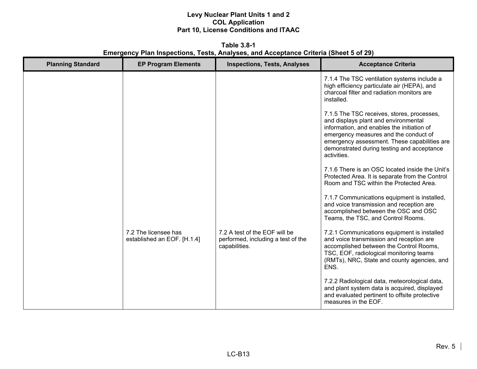**Table 3.8-1 Emergency Plan Inspections, Tests, Analyses, and Acceptance Criteria (Sheet 5 of 29)** 

| <b>Planning Standard</b> | <b>EP Program Elements</b>                          | <b>Inspections, Tests, Analyses</b>                                                  | <b>Acceptance Criteria</b>                                                                                                                                                                                                                                                             |
|--------------------------|-----------------------------------------------------|--------------------------------------------------------------------------------------|----------------------------------------------------------------------------------------------------------------------------------------------------------------------------------------------------------------------------------------------------------------------------------------|
|                          |                                                     |                                                                                      | 7.1.4 The TSC ventilation systems include a<br>high efficiency particulate air (HEPA), and<br>charcoal filter and radiation monitors are<br>installed.                                                                                                                                 |
|                          |                                                     |                                                                                      | 7.1.5 The TSC receives, stores, processes,<br>and displays plant and environmental<br>information, and enables the initiation of<br>emergency measures and the conduct of<br>emergency assessment. These capabilities are<br>demonstrated during testing and acceptance<br>activities. |
|                          |                                                     |                                                                                      | 7.1.6 There is an OSC located inside the Unit's<br>Protected Area. It is separate from the Control<br>Room and TSC within the Protected Area.                                                                                                                                          |
|                          |                                                     |                                                                                      | 7.1.7 Communications equipment is installed,<br>and voice transmission and reception are<br>accomplished between the OSC and OSC<br>Teams, the TSC, and Control Rooms.                                                                                                                 |
|                          | 7.2 The licensee has<br>established an EOF. [H.1.4] | 7.2 A test of the EOF will be<br>performed, including a test of the<br>capabilities. | 7.2.1 Communications equipment is installed<br>and voice transmission and reception are<br>accomplished between the Control Rooms,<br>TSC, EOF, radiological monitoring teams<br>(RMTs), NRC, State and county agencies, and<br>ENS.                                                   |
|                          |                                                     |                                                                                      | 7.2.2 Radiological data, meteorological data,<br>and plant system data is acquired, displayed<br>and evaluated pertinent to offsite protective<br>measures in the EOF.                                                                                                                 |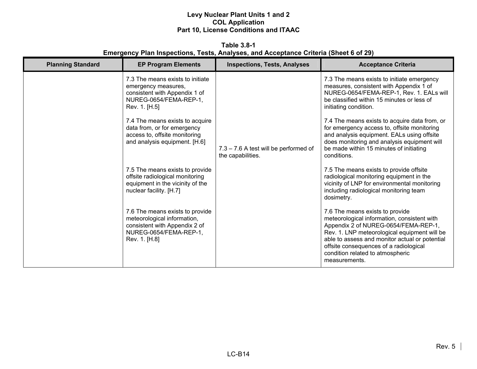**Table 3.8-1 Emergency Plan Inspections, Tests, Analyses, and Acceptance Criteria (Sheet 6 of 29)** 

| <b>Planning Standard</b> | <b>EP Program Elements</b>                                                                                                                                                                                                                                              | <b>Inspections, Tests, Analyses</b>                        | <b>Acceptance Criteria</b>                                                                                                                                                                                                                                                                                                                                                                                                                                      |
|--------------------------|-------------------------------------------------------------------------------------------------------------------------------------------------------------------------------------------------------------------------------------------------------------------------|------------------------------------------------------------|-----------------------------------------------------------------------------------------------------------------------------------------------------------------------------------------------------------------------------------------------------------------------------------------------------------------------------------------------------------------------------------------------------------------------------------------------------------------|
|                          | 7.3 The means exists to initiate<br>emergency measures,<br>consistent with Appendix 1 of<br>NUREG-0654/FEMA-REP-1,<br>Rev. 1. [H.5]<br>7.4 The means exists to acquire<br>data from, or for emergency<br>access to, offsite monitoring<br>and analysis equipment. [H.6] | 7.3 - 7.6 A test will be performed of<br>the capabilities. | 7.3 The means exists to initiate emergency<br>measures, consistent with Appendix 1 of<br>NUREG-0654/FEMA-REP-1, Rev. 1. EALs will<br>be classified within 15 minutes or less of<br>initiating condition.<br>7.4 The means exists to acquire data from, or<br>for emergency access to, offsite monitoring<br>and analysis equipment. EALs using offsite<br>does monitoring and analysis equipment will<br>be made within 15 minutes of initiating<br>conditions. |
|                          | 7.5 The means exists to provide<br>offsite radiological monitoring<br>equipment in the vicinity of the<br>nuclear facility. [H.7]                                                                                                                                       |                                                            | 7.5 The means exists to provide offsite<br>radiological monitoring equipment in the<br>vicinity of LNP for environmental monitoring<br>including radiological monitoring team<br>dosimetry.                                                                                                                                                                                                                                                                     |
|                          | 7.6 The means exists to provide<br>meteorological information,<br>consistent with Appendix 2 of<br>NUREG-0654/FEMA-REP-1,<br>Rev. 1. [H.8]                                                                                                                              |                                                            | 7.6 The means exists to provide<br>meteorological information, consistent with<br>Appendix 2 of NUREG-0654/FEMA-REP-1,<br>Rev. 1. LNP meteorological equipment will be<br>able to assess and monitor actual or potential<br>offsite consequences of a radiological<br>condition related to atmospheric<br>measurements.                                                                                                                                         |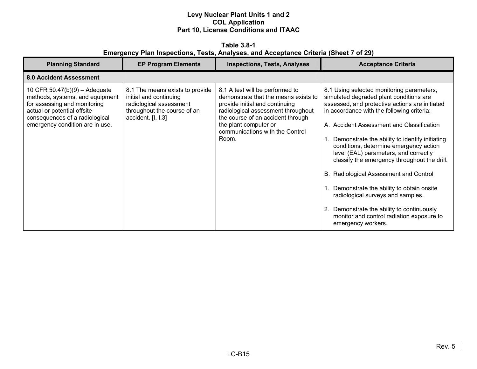**Table 3.8-1 Emergency Plan Inspections, Tests, Analyses, and Acceptance Criteria (Sheet 7 of 29)** 

| <b>Planning Standard</b>                                                                                                                                                                               | <b>EP Program Elements</b>                                                                                                                | <b>Inspections, Tests, Analyses</b>                                                                                                                                                                                                                       | <b>Acceptance Criteria</b>                                                                                                                                                                                                                                                                                                                                                                                                                                                                                                                                                                                                                                         |
|--------------------------------------------------------------------------------------------------------------------------------------------------------------------------------------------------------|-------------------------------------------------------------------------------------------------------------------------------------------|-----------------------------------------------------------------------------------------------------------------------------------------------------------------------------------------------------------------------------------------------------------|--------------------------------------------------------------------------------------------------------------------------------------------------------------------------------------------------------------------------------------------------------------------------------------------------------------------------------------------------------------------------------------------------------------------------------------------------------------------------------------------------------------------------------------------------------------------------------------------------------------------------------------------------------------------|
| <b>8.0 Accident Assessment</b>                                                                                                                                                                         |                                                                                                                                           |                                                                                                                                                                                                                                                           |                                                                                                                                                                                                                                                                                                                                                                                                                                                                                                                                                                                                                                                                    |
| 10 CFR $50.47(b)(9) -$ Adequate<br>methods, systems, and equipment<br>for assessing and monitoring<br>actual or potential offsite<br>consequences of a radiological<br>emergency condition are in use. | 8.1 The means exists to provide<br>initial and continuing<br>radiological assessment<br>throughout the course of an<br>accident. [I, I.3] | 8.1 A test will be performed to<br>demonstrate that the means exists to<br>provide initial and continuing<br>radiological assessment throughout<br>the course of an accident through<br>the plant computer or<br>communications with the Control<br>Room. | 8.1 Using selected monitoring parameters,<br>simulated degraded plant conditions are<br>assessed, and protective actions are initiated<br>in accordance with the following criteria:<br>A. Accident Assessment and Classification<br>Demonstrate the ability to identify initiating<br>conditions, determine emergency action<br>level (EAL) parameters, and correctly<br>classify the emergency throughout the drill.<br>B. Radiological Assessment and Control<br>Demonstrate the ability to obtain onsite<br>radiological surveys and samples.<br>2. Demonstrate the ability to continuously<br>monitor and control radiation exposure to<br>emergency workers. |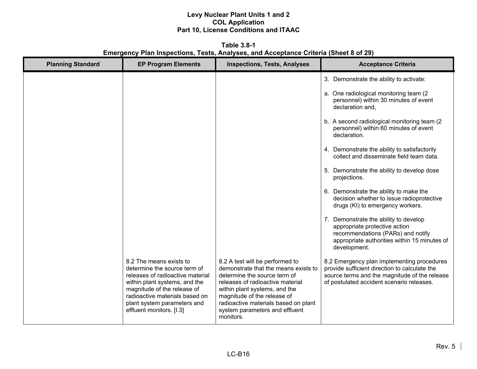**Table 3.8-1 Emergency Plan Inspections, Tests, Analyses, and Acceptance Criteria (Sheet 8 of 29)** 

| <b>Planning Standard</b> | <b>EP Program Elements</b>                                                                                                                                                                                                                               | <b>Inspections, Tests, Analyses</b>                                                                                                                                                                                                                                                                | <b>Acceptance Criteria</b>                                                                                                                                                                |
|--------------------------|----------------------------------------------------------------------------------------------------------------------------------------------------------------------------------------------------------------------------------------------------------|----------------------------------------------------------------------------------------------------------------------------------------------------------------------------------------------------------------------------------------------------------------------------------------------------|-------------------------------------------------------------------------------------------------------------------------------------------------------------------------------------------|
|                          |                                                                                                                                                                                                                                                          |                                                                                                                                                                                                                                                                                                    | 3. Demonstrate the ability to activate:<br>a. One radiological monitoring team (2)                                                                                                        |
|                          |                                                                                                                                                                                                                                                          |                                                                                                                                                                                                                                                                                                    | personnel) within 30 minutes of event<br>declaration and,                                                                                                                                 |
|                          |                                                                                                                                                                                                                                                          |                                                                                                                                                                                                                                                                                                    | b. A second radiological monitoring team (2)<br>personnel) within 60 minutes of event<br>declaration.                                                                                     |
|                          |                                                                                                                                                                                                                                                          |                                                                                                                                                                                                                                                                                                    | 4. Demonstrate the ability to satisfactorily<br>collect and disseminate field team data.                                                                                                  |
|                          |                                                                                                                                                                                                                                                          |                                                                                                                                                                                                                                                                                                    | 5. Demonstrate the ability to develop dose<br>projections.                                                                                                                                |
|                          |                                                                                                                                                                                                                                                          |                                                                                                                                                                                                                                                                                                    | 6. Demonstrate the ability to make the<br>decision whether to issue radioprotective<br>drugs (KI) to emergency workers.                                                                   |
|                          |                                                                                                                                                                                                                                                          |                                                                                                                                                                                                                                                                                                    | 7. Demonstrate the ability to develop<br>appropriate protective action<br>recommendations (PARs) and notify<br>appropriate authorities within 15 minutes of<br>development.               |
|                          | 8.2 The means exists to<br>determine the source term of<br>releases of radioactive material<br>within plant systems, and the<br>magnitude of the release of<br>radioactive materials based on<br>plant system parameters and<br>effluent monitors. [I.3] | 8.2 A test will be performed to<br>demonstrate that the means exists to<br>determine the source term of<br>releases of radioactive material<br>within plant systems, and the<br>magnitude of the release of<br>radioactive materials based on plant<br>system parameters and effluent<br>monitors. | 8.2 Emergency plan implementing procedures<br>provide sufficient direction to calculate the<br>source terms and the magnitude of the release<br>of postulated accident scenario releases. |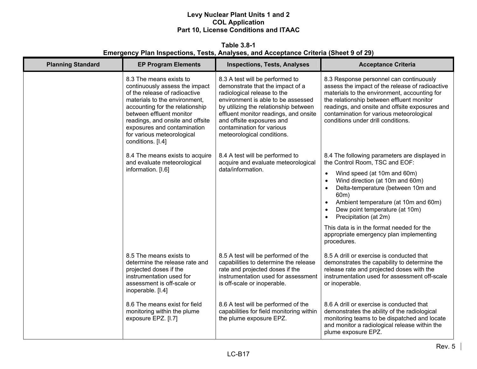**Table 3.8-1 Emergency Plan Inspections, Tests, Analyses, and Acceptance Criteria (Sheet 9 of 29)** 

| <b>Planning Standard</b> | <b>EP Program Elements</b>                                                                                                                                                                                                                                                                                       | <b>Inspections, Tests, Analyses</b>                                                                                                                                                                                                                                                                                | <b>Acceptance Criteria</b>                                                                                                                                                                                                                                                                                                                                               |
|--------------------------|------------------------------------------------------------------------------------------------------------------------------------------------------------------------------------------------------------------------------------------------------------------------------------------------------------------|--------------------------------------------------------------------------------------------------------------------------------------------------------------------------------------------------------------------------------------------------------------------------------------------------------------------|--------------------------------------------------------------------------------------------------------------------------------------------------------------------------------------------------------------------------------------------------------------------------------------------------------------------------------------------------------------------------|
|                          | 8.3 The means exists to<br>continuously assess the impact<br>of the release of radioactive<br>materials to the environment,<br>accounting for the relationship<br>between effluent monitor<br>readings, and onsite and offsite<br>exposures and contamination<br>for various meteorological<br>conditions. [I.4] | 8.3 A test will be performed to<br>demonstrate that the impact of a<br>radiological release to the<br>environment is able to be assessed<br>by utilizing the relationship between<br>effluent monitor readings, and onsite<br>and offsite exposures and<br>contamination for various<br>meteorological conditions. | 8.3 Response personnel can continuously<br>assess the impact of the release of radioactive<br>materials to the environment, accounting for<br>the relationship between effluent monitor<br>readings, and onsite and offsite exposures and<br>contamination for various meteorological<br>conditions under drill conditions.                                              |
|                          | 8.4 The means exists to acquire<br>and evaluate meteorological                                                                                                                                                                                                                                                   | 8.4 A test will be performed to<br>acquire and evaluate meteorological                                                                                                                                                                                                                                             | 8.4 The following parameters are displayed in<br>the Control Room, TSC and EOF:                                                                                                                                                                                                                                                                                          |
|                          | information. [I.6]                                                                                                                                                                                                                                                                                               | data/information.                                                                                                                                                                                                                                                                                                  | Wind speed (at 10m and 60m)<br>$\bullet$<br>Wind direction (at 10m and 60m)<br>$\bullet$<br>Delta-temperature (between 10m and<br>$\bullet$<br>60m)<br>Ambient temperature (at 10m and 60m)<br>$\bullet$<br>Dew point temperature (at 10m)<br>$\bullet$<br>Precipitation (at 2m)<br>This data is in the format needed for the<br>appropriate emergency plan implementing |
|                          |                                                                                                                                                                                                                                                                                                                  |                                                                                                                                                                                                                                                                                                                    | procedures.                                                                                                                                                                                                                                                                                                                                                              |
|                          | 8.5 The means exists to<br>determine the release rate and<br>projected doses if the<br>instrumentation used for<br>assessment is off-scale or<br>inoperable. [I.4]                                                                                                                                               | 8.5 A test will be performed of the<br>capabilities to determine the release<br>rate and projected doses if the<br>instrumentation used for assessment<br>is off-scale or inoperable.                                                                                                                              | 8.5 A drill or exercise is conducted that<br>demonstrates the capability to determine the<br>release rate and projected doses with the<br>instrumentation used for assessment off-scale<br>or inoperable.                                                                                                                                                                |
|                          | 8.6 The means exist for field<br>monitoring within the plume<br>exposure EPZ. [I.7]                                                                                                                                                                                                                              | 8.6 A test will be performed of the<br>capabilities for field monitoring within<br>the plume exposure EPZ.                                                                                                                                                                                                         | 8.6 A drill or exercise is conducted that<br>demonstrates the ability of the radiological<br>monitoring teams to be dispatched and locate<br>and monitor a radiological release within the<br>plume exposure EPZ.                                                                                                                                                        |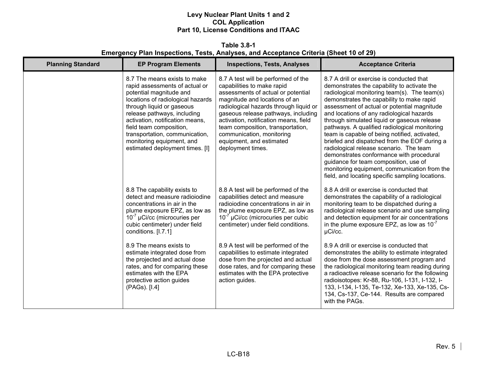**Table 3.8-1 Emergency Plan Inspections, Tests, Analyses, and Acceptance Criteria (Sheet 10 of 29)** 

| <b>Planning Standard</b> | <b>EP Program Elements</b>                                                                                                                                                                                                                                                                                                                                 | <b>Inspections, Tests, Analyses</b>                                                                                                                                                                                                                                                                                                                                                   | <b>Acceptance Criteria</b>                                                                                                                                                                                                                                                                                                                                                                                                                                                                                                                                                                                                                                                                                             |
|--------------------------|------------------------------------------------------------------------------------------------------------------------------------------------------------------------------------------------------------------------------------------------------------------------------------------------------------------------------------------------------------|---------------------------------------------------------------------------------------------------------------------------------------------------------------------------------------------------------------------------------------------------------------------------------------------------------------------------------------------------------------------------------------|------------------------------------------------------------------------------------------------------------------------------------------------------------------------------------------------------------------------------------------------------------------------------------------------------------------------------------------------------------------------------------------------------------------------------------------------------------------------------------------------------------------------------------------------------------------------------------------------------------------------------------------------------------------------------------------------------------------------|
|                          | 8.7 The means exists to make<br>rapid assessments of actual or<br>potential magnitude and<br>locations of radiological hazards<br>through liquid or gaseous<br>release pathways, including<br>activation, notification means,<br>field team composition,<br>transportation, communication,<br>monitoring equipment, and<br>estimated deployment times. [I] | 8.7 A test will be performed of the<br>capabilities to make rapid<br>assessments of actual or potential<br>magnitude and locations of an<br>radiological hazards through liquid or<br>gaseous release pathways, including<br>activation, notification means, field<br>team composition, transportation,<br>communication, monitoring<br>equipment, and estimated<br>deployment times. | 8.7 A drill or exercise is conducted that<br>demonstrates the capability to activate the<br>radiological monitoring team(s). The team(s)<br>demonstrates the capability to make rapid<br>assessment of actual or potential magnitude<br>and locations of any radiological hazards<br>through simulated liquid or gaseous release<br>pathways. A qualified radiological monitoring<br>team is capable of being notified, activated,<br>briefed and dispatched from the EOF during a<br>radiological release scenario. The team<br>demonstrates conformance with procedural<br>guidance for team composition, use of<br>monitoring equipment, communication from the<br>field, and locating specific sampling locations. |
|                          | 8.8 The capability exists to<br>detect and measure radioiodine<br>concentrations in air in the<br>plume exposure EPZ, as low as<br>$10^{-7}$ µCi/cc (microcuries per<br>cubic centimeter) under field<br>conditions. [I.7.1]                                                                                                                               | 8.8 A test will be performed of the<br>capabilities detect and measure<br>radioiodine concentrations in air in<br>the plume exposure EPZ, as low as<br>$10^{-7}$ µCi/cc (microcuries per cubic<br>centimeter) under field conditions.                                                                                                                                                 | 8.8 A drill or exercise is conducted that<br>demonstrates the capability of a radiological<br>monitoring team to be dispatched during a<br>radiological release scenario and use sampling<br>and detection equipment for air concentrations<br>in the plume exposure EPZ, as low as $10^{-7}$<br>µCi/cc.                                                                                                                                                                                                                                                                                                                                                                                                               |
|                          | 8.9 The means exists to<br>estimate integrated dose from<br>the projected and actual dose<br>rates, and for comparing these<br>estimates with the EPA<br>protective action guides<br>(PAGs). [I.4]                                                                                                                                                         | 8.9 A test will be performed of the<br>capabilities to estimate integrated<br>dose from the projected and actual<br>dose rates, and for comparing these<br>estimates with the EPA protective<br>action guides.                                                                                                                                                                        | 8.9 A drill or exercise is conducted that<br>demonstrates the ability to estimate integrated<br>dose from the dose assessment program and<br>the radiological monitoring team reading during<br>a radioactive release scenario for the following<br>radioisotopes: Kr-88, Ru-106, I-131, I-132, I-<br>133, I-134, I-135, Te-132, Xe-133, Xe-135, Cs-<br>134, Cs-137, Ce-144. Results are compared<br>with the PAGs.                                                                                                                                                                                                                                                                                                    |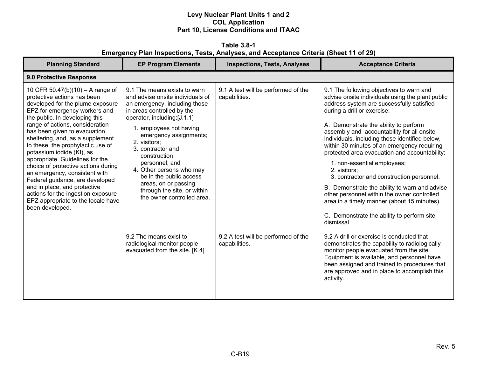**Table 3.8-1 Emergency Plan Inspections, Tests, Analyses, and Acceptance Criteria (Sheet 11 of 29)** 

| <b>Planning Standard</b>                                                                                                                                                                                                                                                                                                                                                                                                                                                                                                                                                                                                      | <b>EP Program Elements</b>                                                                                                                                                                                                                                                                                                                                                                                                                                                                                                        | <b>Inspections, Tests, Analyses</b>                                                                          | <b>Acceptance Criteria</b>                                                                                                                                                                                                                                                                                                                                                                                                                                                                                                                                                                                                                                                                                                                                                                                                                                                                                                                                                                                                   |
|-------------------------------------------------------------------------------------------------------------------------------------------------------------------------------------------------------------------------------------------------------------------------------------------------------------------------------------------------------------------------------------------------------------------------------------------------------------------------------------------------------------------------------------------------------------------------------------------------------------------------------|-----------------------------------------------------------------------------------------------------------------------------------------------------------------------------------------------------------------------------------------------------------------------------------------------------------------------------------------------------------------------------------------------------------------------------------------------------------------------------------------------------------------------------------|--------------------------------------------------------------------------------------------------------------|------------------------------------------------------------------------------------------------------------------------------------------------------------------------------------------------------------------------------------------------------------------------------------------------------------------------------------------------------------------------------------------------------------------------------------------------------------------------------------------------------------------------------------------------------------------------------------------------------------------------------------------------------------------------------------------------------------------------------------------------------------------------------------------------------------------------------------------------------------------------------------------------------------------------------------------------------------------------------------------------------------------------------|
| 9.0 Protective Response                                                                                                                                                                                                                                                                                                                                                                                                                                                                                                                                                                                                       |                                                                                                                                                                                                                                                                                                                                                                                                                                                                                                                                   |                                                                                                              |                                                                                                                                                                                                                                                                                                                                                                                                                                                                                                                                                                                                                                                                                                                                                                                                                                                                                                                                                                                                                              |
| 10 CFR 50.47(b)(10) – A range of<br>protective actions has been<br>developed for the plume exposure<br>EPZ for emergency workers and<br>the public. In developing this<br>range of actions, consideration<br>has been given to evacuation,<br>sheltering, and, as a supplement<br>to these, the prophylactic use of<br>potassium iodide (KI), as<br>appropriate. Guidelines for the<br>choice of protective actions during<br>an emergency, consistent with<br>Federal guidance, are developed<br>and in place, and protective<br>actions for the ingestion exposure<br>EPZ appropriate to the locale have<br>been developed. | 9.1 The means exists to warn<br>and advise onsite individuals of<br>an emergency, including those<br>in areas controlled by the<br>operator, including:[J.1.1]<br>1. employees not having<br>emergency assignments;<br>2. visitors;<br>3. contractor and<br>construction<br>personnel; and<br>4. Other persons who may<br>be in the public access<br>areas, on or passing<br>through the site, or within<br>the owner controlled area.<br>9.2 The means exist to<br>radiological monitor people<br>evacuated from the site. [K.4] | 9.1 A test will be performed of the<br>capabilities.<br>9.2 A test will be performed of the<br>capabilities. | 9.1 The following objectives to warn and<br>advise onsite individuals using the plant public<br>address system are successfully satisfied<br>during a drill or exercise:<br>A. Demonstrate the ability to perform<br>assembly and accountability for all onsite<br>individuals, including those identified below,<br>within 30 minutes of an emergency requiring<br>protected area evacuation and accountability:<br>1. non-essential employees;<br>2. visitors;<br>3. contractor and construction personnel.<br>B. Demonstrate the ability to warn and advise<br>other personnel within the owner controlled<br>area in a timely manner (about 15 minutes).<br>C. Demonstrate the ability to perform site<br>dismissal.<br>9.2 A drill or exercise is conducted that<br>demonstrates the capability to radiologically<br>monitor people evacuated from the site.<br>Equipment is available, and personnel have<br>been assigned and trained to procedures that<br>are approved and in place to accomplish this<br>activity. |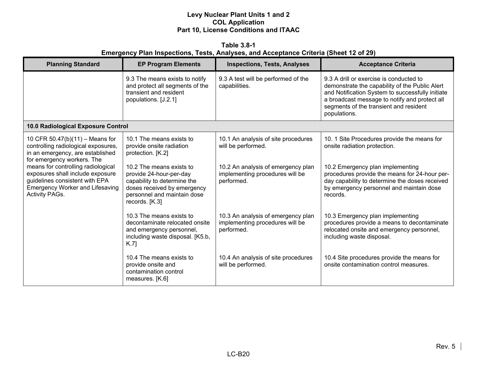**Table 3.8-1 Emergency Plan Inspections, Tests, Analyses, and Acceptance Criteria (Sheet 12 of 29)** 

| <b>Planning Standard</b>                                                                                                                                                    | <b>EP Program Elements</b>                                                                                                                                         | <b>Inspections, Tests, Analyses</b>                                                 | <b>Acceptance Criteria</b>                                                                                                                                                                                                                               |
|-----------------------------------------------------------------------------------------------------------------------------------------------------------------------------|--------------------------------------------------------------------------------------------------------------------------------------------------------------------|-------------------------------------------------------------------------------------|----------------------------------------------------------------------------------------------------------------------------------------------------------------------------------------------------------------------------------------------------------|
|                                                                                                                                                                             | 9.3 The means exists to notify<br>and protect all segments of the<br>transient and resident<br>populations. [J.2.1]                                                | 9.3 A test will be performed of the<br>capabilities.                                | 9.3 A drill or exercise is conducted to<br>demonstrate the capability of the Public Alert<br>and Notification System to successfully initiate<br>a broadcast message to notify and protect all<br>segments of the transient and resident<br>populations. |
| 10.0 Radiological Exposure Control                                                                                                                                          |                                                                                                                                                                    |                                                                                     |                                                                                                                                                                                                                                                          |
| 10 CFR 50.47(b)(11) - Means for<br>controlling radiological exposures,<br>in an emergency, are established<br>for emergency workers. The                                    | 10.1 The means exists to<br>provide onsite radiation<br>protection. [K.2]                                                                                          | 10.1 An analysis of site procedures<br>will be performed.                           | 10. 1 Site Procedures provide the means for<br>onsite radiation protection.                                                                                                                                                                              |
| means for controlling radiological<br>exposures shall include exposure<br>guidelines consistent with EPA<br><b>Emergency Worker and Lifesaving</b><br><b>Activity PAGs.</b> | 10.2 The means exists to<br>provide 24-hour-per-day<br>capability to determine the<br>doses received by emergency<br>personnel and maintain dose<br>records. [K.3] | 10.2 An analysis of emergency plan<br>implementing procedures will be<br>performed. | 10.2 Emergency plan implementing<br>procedures provide the means for 24-hour per-<br>day capability to determine the doses received<br>by emergency personnel and maintain dose<br>records.                                                              |
|                                                                                                                                                                             | 10.3 The means exists to<br>decontaminate relocated onsite<br>and emergency personnel,<br>including waste disposal. [K5.b,<br>K.7]                                 | 10.3 An analysis of emergency plan<br>implementing procedures will be<br>performed. | 10.3 Emergency plan implementing<br>procedures provide a means to decontaminate<br>relocated onsite and emergency personnel,<br>including waste disposal.                                                                                                |
|                                                                                                                                                                             | 10.4 The means exists to<br>provide onsite and<br>contamination control<br>measures. [K.6]                                                                         | 10.4 An analysis of site procedures<br>will be performed.                           | 10.4 Site procedures provide the means for<br>onsite contamination control measures.                                                                                                                                                                     |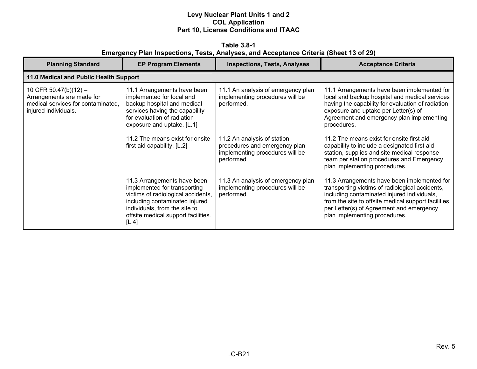**Table 3.8-1 Emergency Plan Inspections, Tests, Analyses, and Acceptance Criteria (Sheet 13 of 29)** 

| <b>Planning Standard</b>                                                                                         | <b>EP Program Elements</b>                                                                                                                                                                                           | <b>Inspections, Tests, Analyses</b>                                                                           | <b>Acceptance Criteria</b>                                                                                                                                                                                                                                                        |
|------------------------------------------------------------------------------------------------------------------|----------------------------------------------------------------------------------------------------------------------------------------------------------------------------------------------------------------------|---------------------------------------------------------------------------------------------------------------|-----------------------------------------------------------------------------------------------------------------------------------------------------------------------------------------------------------------------------------------------------------------------------------|
| 11.0 Medical and Public Health Support                                                                           |                                                                                                                                                                                                                      |                                                                                                               |                                                                                                                                                                                                                                                                                   |
| 10 CFR 50.47(b)(12) -<br>Arrangements are made for<br>medical services for contaminated,<br>injured individuals. | 11.1 Arrangements have been<br>implemented for local and<br>backup hospital and medical<br>services having the capability<br>for evaluation of radiation<br>exposure and uptake. [L.1]                               | 11.1 An analysis of emergency plan<br>implementing procedures will be<br>performed.                           | 11.1 Arrangements have been implemented for<br>local and backup hospital and medical services<br>having the capability for evaluation of radiation<br>exposure and uptake per Letter(s) of<br>Agreement and emergency plan implementing<br>procedures.                            |
|                                                                                                                  | 11.2 The means exist for onsite<br>first aid capability. [L.2]                                                                                                                                                       | 11.2 An analysis of station<br>procedures and emergency plan<br>implementing procedures will be<br>performed. | 11.2 The means exist for onsite first aid<br>capability to include a designated first aid<br>station, supplies and site medical response<br>team per station procedures and Emergency<br>plan implementing procedures.                                                            |
|                                                                                                                  | 11.3 Arrangements have been<br>implemented for transporting<br>victims of radiological accidents,<br>including contaminated injured<br>individuals, from the site to<br>offsite medical support facilities.<br>[L.4] | 11.3 An analysis of emergency plan<br>implementing procedures will be<br>performed.                           | 11.3 Arrangements have been implemented for<br>transporting victims of radiological accidents,<br>including contaminated injured individuals,<br>from the site to offsite medical support facilities<br>per Letter(s) of Agreement and emergency<br>plan implementing procedures. |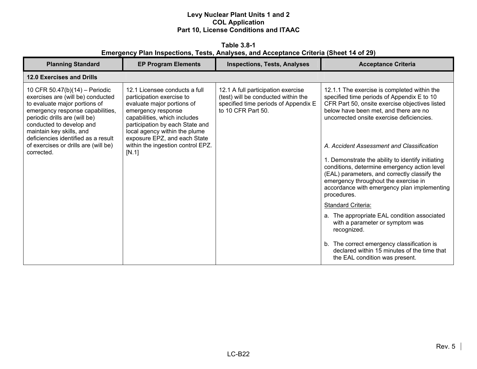**Table 3.8-1 Emergency Plan Inspections, Tests, Analyses, and Acceptance Criteria (Sheet 14 of 29)** 

| <b>Planning Standard</b>                                                                                                                                                                                                                                                                                                       | <b>EP Program Elements</b>                                                                                                                                                                                                                                                                       | <b>Inspections, Tests, Analyses</b>                                                                                                     | <b>Acceptance Criteria</b>                                                                                                                                                                                                                                                                                                                                                                                                                                                                                                                                                                                                                                                                                                                                                                      |
|--------------------------------------------------------------------------------------------------------------------------------------------------------------------------------------------------------------------------------------------------------------------------------------------------------------------------------|--------------------------------------------------------------------------------------------------------------------------------------------------------------------------------------------------------------------------------------------------------------------------------------------------|-----------------------------------------------------------------------------------------------------------------------------------------|-------------------------------------------------------------------------------------------------------------------------------------------------------------------------------------------------------------------------------------------------------------------------------------------------------------------------------------------------------------------------------------------------------------------------------------------------------------------------------------------------------------------------------------------------------------------------------------------------------------------------------------------------------------------------------------------------------------------------------------------------------------------------------------------------|
| 12.0 Exercises and Drills                                                                                                                                                                                                                                                                                                      |                                                                                                                                                                                                                                                                                                  |                                                                                                                                         |                                                                                                                                                                                                                                                                                                                                                                                                                                                                                                                                                                                                                                                                                                                                                                                                 |
| 10 CFR 50.47(b)(14) - Periodic<br>exercises are (will be) conducted<br>to evaluate major portions of<br>emergency response capabilities,<br>periodic drills are (will be)<br>conducted to develop and<br>maintain key skills, and<br>deficiencies identified as a result<br>of exercises or drills are (will be)<br>corrected. | 12.1 Licensee conducts a full<br>participation exercise to<br>evaluate major portions of<br>emergency response<br>capabilities, which includes<br>participation by each State and<br>local agency within the plume<br>exposure EPZ, and each State<br>within the ingestion control EPZ.<br>[N.1] | 12.1 A full participation exercise<br>(test) will be conducted within the<br>specified time periods of Appendix E<br>to 10 CFR Part 50. | 12.1.1 The exercise is completed within the<br>specified time periods of Appendix E to 10<br>CFR Part 50, onsite exercise objectives listed<br>below have been met, and there are no<br>uncorrected onsite exercise deficiencies.<br>A. Accident Assessment and Classification<br>1. Demonstrate the ability to identify initiating<br>conditions, determine emergency action level<br>(EAL) parameters, and correctly classify the<br>emergency throughout the exercise in<br>accordance with emergency plan implementing<br>procedures.<br>Standard Criteria:<br>a. The appropriate EAL condition associated<br>with a parameter or symptom was<br>recognized.<br>b. The correct emergency classification is<br>declared within 15 minutes of the time that<br>the EAL condition was present. |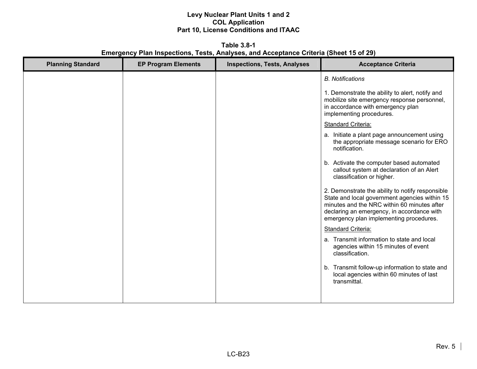**Table 3.8-1 Emergency Plan Inspections, Tests, Analyses, and Acceptance Criteria (Sheet 15 of 29)** 

| <b>Planning Standard</b> | <b>EP Program Elements</b> | <b>Inspections, Tests, Analyses</b> | <b>Acceptance Criteria</b>                                                                                                                                                                                                                |
|--------------------------|----------------------------|-------------------------------------|-------------------------------------------------------------------------------------------------------------------------------------------------------------------------------------------------------------------------------------------|
|                          |                            |                                     | <b>B.</b> Notifications                                                                                                                                                                                                                   |
|                          |                            |                                     | 1. Demonstrate the ability to alert, notify and<br>mobilize site emergency response personnel,<br>in accordance with emergency plan<br>implementing procedures.                                                                           |
|                          |                            |                                     | <b>Standard Criteria:</b>                                                                                                                                                                                                                 |
|                          |                            |                                     | a. Initiate a plant page announcement using<br>the appropriate message scenario for ERO<br>notification.                                                                                                                                  |
|                          |                            |                                     | b. Activate the computer based automated<br>callout system at declaration of an Alert<br>classification or higher.                                                                                                                        |
|                          |                            |                                     | 2. Demonstrate the ability to notify responsible<br>State and local government agencies within 15<br>minutes and the NRC within 60 minutes after<br>declaring an emergency, in accordance with<br>emergency plan implementing procedures. |
|                          |                            |                                     | Standard Criteria:                                                                                                                                                                                                                        |
|                          |                            |                                     | a. Transmit information to state and local<br>agencies within 15 minutes of event<br>classification.                                                                                                                                      |
|                          |                            |                                     | b. Transmit follow-up information to state and<br>local agencies within 60 minutes of last<br>transmittal.                                                                                                                                |
|                          |                            |                                     |                                                                                                                                                                                                                                           |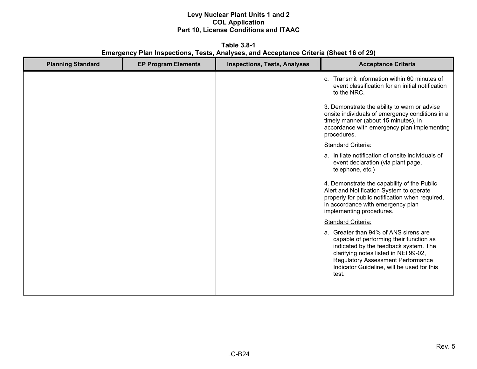**Table 3.8-1 Emergency Plan Inspections, Tests, Analyses, and Acceptance Criteria (Sheet 16 of 29)** 

| <b>Planning Standard</b> | <b>EP Program Elements</b> | <b>Inspections, Tests, Analyses</b> | <b>Acceptance Criteria</b>                                                                                                                                                                                                                                            |
|--------------------------|----------------------------|-------------------------------------|-----------------------------------------------------------------------------------------------------------------------------------------------------------------------------------------------------------------------------------------------------------------------|
|                          |                            |                                     | c. Transmit information within 60 minutes of<br>event classification for an initial notification<br>to the NRC.                                                                                                                                                       |
|                          |                            |                                     | 3. Demonstrate the ability to warn or advise<br>onsite individuals of emergency conditions in a<br>timely manner (about 15 minutes), in<br>accordance with emergency plan implementing<br>procedures.                                                                 |
|                          |                            |                                     | <b>Standard Criteria:</b>                                                                                                                                                                                                                                             |
|                          |                            |                                     | a. Initiate notification of onsite individuals of<br>event declaration (via plant page,<br>telephone, etc.)                                                                                                                                                           |
|                          |                            |                                     | 4. Demonstrate the capability of the Public<br>Alert and Notification System to operate<br>properly for public notification when required,<br>in accordance with emergency plan<br>implementing procedures.                                                           |
|                          |                            |                                     | <b>Standard Criteria:</b>                                                                                                                                                                                                                                             |
|                          |                            |                                     | a. Greater than 94% of ANS sirens are<br>capable of performing their function as<br>indicated by the feedback system. The<br>clarifying notes listed in NEI 99-02,<br><b>Regulatory Assessment Performance</b><br>Indicator Guideline, will be used for this<br>test. |
|                          |                            |                                     |                                                                                                                                                                                                                                                                       |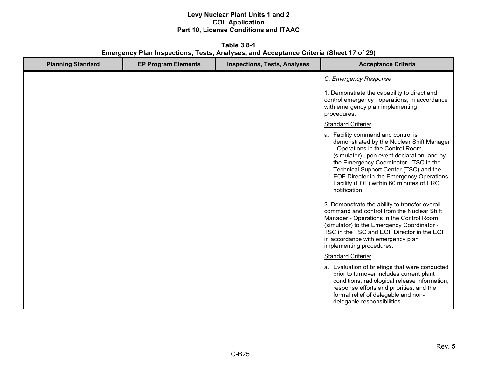**Table 3.8-1 Emergency Plan Inspections, Tests, Analyses, and Acceptance Criteria (Sheet 17 of 29)** 

| <b>Planning Standard</b> | <b>EP Program Elements</b> | <b>Inspections, Tests, Analyses</b> | <b>Acceptance Criteria</b>                                                                                                                                                                                                                                                                                                                                    |
|--------------------------|----------------------------|-------------------------------------|---------------------------------------------------------------------------------------------------------------------------------------------------------------------------------------------------------------------------------------------------------------------------------------------------------------------------------------------------------------|
|                          |                            |                                     | C. Emergency Response                                                                                                                                                                                                                                                                                                                                         |
|                          |                            |                                     | 1. Demonstrate the capability to direct and<br>control emergency operations, in accordance<br>with emergency plan implementing<br>procedures.                                                                                                                                                                                                                 |
|                          |                            |                                     | <b>Standard Criteria:</b>                                                                                                                                                                                                                                                                                                                                     |
|                          |                            |                                     | a. Facility command and control is<br>demonstrated by the Nuclear Shift Manager<br>- Operations in the Control Room<br>(simulator) upon event declaration, and by<br>the Emergency Coordinator - TSC in the<br>Technical Support Center (TSC) and the<br>EOF Director in the Emergency Operations<br>Facility (EOF) within 60 minutes of ERO<br>notification. |
|                          |                            |                                     | 2. Demonstrate the ability to transfer overall<br>command and control from the Nuclear Shift<br>Manager - Operations in the Control Room<br>(simulator) to the Emergency Coordinator -<br>TSC in the TSC and EOF Director in the EOF,<br>in accordance with emergency plan<br>implementing procedures.                                                        |
|                          |                            |                                     | <b>Standard Criteria:</b>                                                                                                                                                                                                                                                                                                                                     |
|                          |                            |                                     | a. Evaluation of briefings that were conducted<br>prior to turnover includes current plant<br>conditions, radiological release information,<br>response efforts and priorities, and the<br>formal relief of delegable and non-<br>delegable responsibilities.                                                                                                 |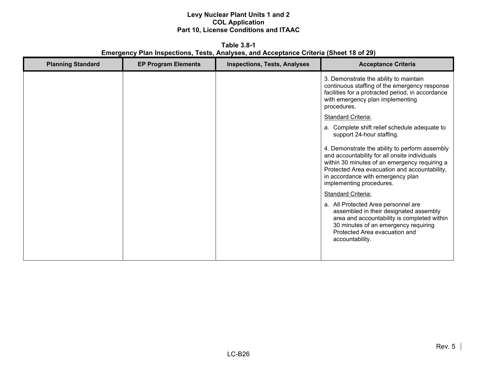**Table 3.8-1 Emergency Plan Inspections, Tests, Analyses, and Acceptance Criteria (Sheet 18 of 29)** 

| <b>EP Program Elements</b> | <b>Inspections, Tests, Analyses</b> | <b>Acceptance Criteria</b>                                                                                                                                                                                                                                         |
|----------------------------|-------------------------------------|--------------------------------------------------------------------------------------------------------------------------------------------------------------------------------------------------------------------------------------------------------------------|
|                            |                                     | 3. Demonstrate the ability to maintain<br>continuous staffing of the emergency response<br>facilities for a protracted period, in accordance<br>with emergency plan implementing<br>procedures.                                                                    |
|                            |                                     | <b>Standard Criteria:</b>                                                                                                                                                                                                                                          |
|                            |                                     | a. Complete shift relief schedule adequate to<br>support 24-hour staffing.                                                                                                                                                                                         |
|                            |                                     | 4. Demonstrate the ability to perform assembly<br>and accountability for all onsite individuals<br>within 30 minutes of an emergency requiring a<br>Protected Area evacuation and accountability,<br>in accordance with emergency plan<br>implementing procedures. |
|                            |                                     | <b>Standard Criteria:</b>                                                                                                                                                                                                                                          |
|                            |                                     | a. All Protected Area personnel are<br>assembled in their designated assembly<br>area and accountability is completed within<br>30 minutes of an emergency requiring<br>Protected Area evacuation and<br>accountability.                                           |
|                            |                                     |                                                                                                                                                                                                                                                                    |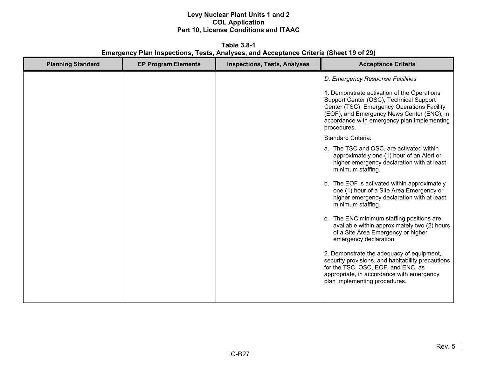**Table 3.8-1 Emergency Plan Inspections, Tests, Analyses, and Acceptance Criteria (Sheet 19 of 29)** 

| <b>Planning Standard</b> | <b>EP Program Elements</b> | <b>Inspections, Tests, Analyses</b> | <b>Acceptance Criteria</b>                                                                                                                                                                                                                        |
|--------------------------|----------------------------|-------------------------------------|---------------------------------------------------------------------------------------------------------------------------------------------------------------------------------------------------------------------------------------------------|
|                          |                            |                                     | D. Emergency Response Facilities                                                                                                                                                                                                                  |
|                          |                            |                                     | 1. Demonstrate activation of the Operations<br>Support Center (OSC), Technical Support<br>Center (TSC), Emergency Operations Facility<br>(EOF), and Emergency News Center (ENC), in<br>accordance with emergency plan implementing<br>procedures. |
|                          |                            |                                     | Standard Criteria:                                                                                                                                                                                                                                |
|                          |                            |                                     | a. The TSC and OSC, are activated within<br>approximately one (1) hour of an Alert or<br>higher emergency declaration with at least<br>minimum staffing.                                                                                          |
|                          |                            |                                     | b. The EOF is activated within approximately<br>one (1) hour of a Site Area Emergency or<br>higher emergency declaration with at least<br>minimum staffing.                                                                                       |
|                          |                            |                                     | c. The ENC minimum staffing positions are<br>available within approximately two (2) hours<br>of a Site Area Emergency or higher<br>emergency declaration.                                                                                         |
|                          |                            |                                     | 2. Demonstrate the adequacy of equipment,<br>security provisions, and habitability precautions<br>for the TSC, OSC, EOF, and ENC, as<br>appropriate, in accordance with emergency<br>plan implementing procedures.                                |
|                          |                            |                                     |                                                                                                                                                                                                                                                   |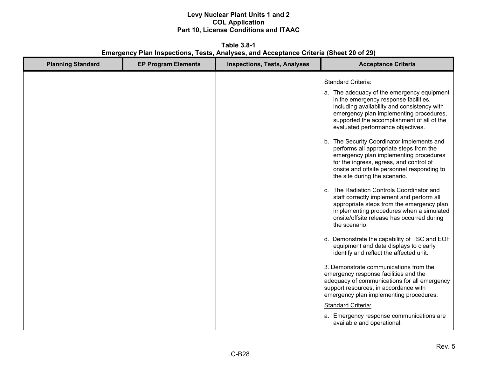**Table 3.8-1 Emergency Plan Inspections, Tests, Analyses, and Acceptance Criteria (Sheet 20 of 29)** 

| <b>Planning Standard</b> | <b>EP Program Elements</b> | <b>Inspections, Tests, Analyses</b> | <b>Acceptance Criteria</b>                                                                                                                                                                                                                                                                                                                                                                                                                                                                                                                                                                                                                                                                                                                                                                                                                                                                                                                                                                                                                                                                                                                                                                                                                                                      |
|--------------------------|----------------------------|-------------------------------------|---------------------------------------------------------------------------------------------------------------------------------------------------------------------------------------------------------------------------------------------------------------------------------------------------------------------------------------------------------------------------------------------------------------------------------------------------------------------------------------------------------------------------------------------------------------------------------------------------------------------------------------------------------------------------------------------------------------------------------------------------------------------------------------------------------------------------------------------------------------------------------------------------------------------------------------------------------------------------------------------------------------------------------------------------------------------------------------------------------------------------------------------------------------------------------------------------------------------------------------------------------------------------------|
|                          |                            |                                     | <b>Standard Criteria:</b><br>a. The adequacy of the emergency equipment<br>in the emergency response facilities,<br>including availability and consistency with<br>emergency plan implementing procedures,<br>supported the accomplishment of all of the<br>evaluated performance objectives.<br>b. The Security Coordinator implements and<br>performs all appropriate steps from the<br>emergency plan implementing procedures<br>for the ingress, egress, and control of<br>onsite and offsite personnel responding to<br>the site during the scenario.<br>c. The Radiation Controls Coordinator and<br>staff correctly implement and perform all<br>appropriate steps from the emergency plan<br>implementing procedures when a simulated<br>onsite/offsite release has occurred during<br>the scenario.<br>d. Demonstrate the capability of TSC and EOF<br>equipment and data displays to clearly<br>identify and reflect the affected unit.<br>3. Demonstrate communications from the<br>emergency response facilities and the<br>adequacy of communications for all emergency<br>support resources, in accordance with<br>emergency plan implementing procedures.<br><b>Standard Criteria:</b><br>a. Emergency response communications are<br>available and operational. |
|                          |                            |                                     |                                                                                                                                                                                                                                                                                                                                                                                                                                                                                                                                                                                                                                                                                                                                                                                                                                                                                                                                                                                                                                                                                                                                                                                                                                                                                 |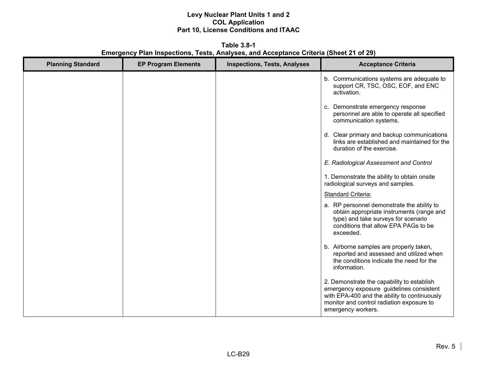**Table 3.8-1 Emergency Plan Inspections, Tests, Analyses, and Acceptance Criteria (Sheet 21 of 29)** 

| <b>Planning Standard</b> | <b>EP Program Elements</b> | <b>Inspections, Tests, Analyses</b> | <b>Acceptance Criteria</b>                                                                                                                                                                                |
|--------------------------|----------------------------|-------------------------------------|-----------------------------------------------------------------------------------------------------------------------------------------------------------------------------------------------------------|
|                          |                            |                                     | b. Communications systems are adequate to<br>support CR, TSC, OSC, EOF, and ENC<br>activation.                                                                                                            |
|                          |                            |                                     | c. Demonstrate emergency response<br>personnel are able to operate all specified<br>communication systems.                                                                                                |
|                          |                            |                                     | d. Clear primary and backup communications<br>links are established and maintained for the<br>duration of the exercise.                                                                                   |
|                          |                            |                                     | E. Radiological Assessment and Control                                                                                                                                                                    |
|                          |                            |                                     | 1. Demonstrate the ability to obtain onsite<br>radiological surveys and samples.                                                                                                                          |
|                          |                            |                                     | <b>Standard Criteria:</b>                                                                                                                                                                                 |
|                          |                            |                                     | a. RP personnel demonstrate the ability to<br>obtain appropriate instruments (range and<br>type) and take surveys for scenario<br>conditions that allow EPA PAGs to be<br>exceeded.                       |
|                          |                            |                                     | b. Airborne samples are properly taken,<br>reported and assessed and utilized when<br>the conditions indicate the need for the<br>information.                                                            |
|                          |                            |                                     | 2. Demonstrate the capability to establish<br>emergency exposure guidelines consistent<br>with EPA-400 and the ability to continuously<br>monitor and control radiation exposure to<br>emergency workers. |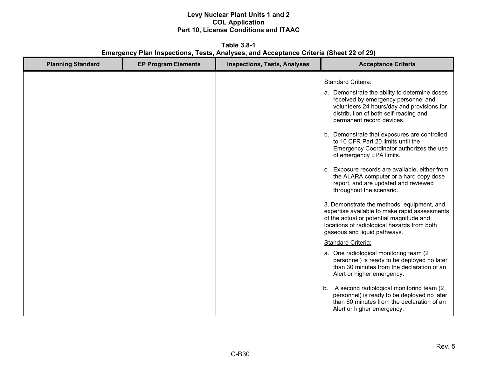**Table 3.8-1 Emergency Plan Inspections, Tests, Analyses, and Acceptance Criteria (Sheet 22 of 29)**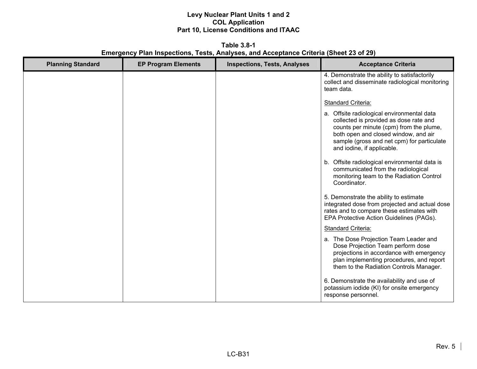**Table 3.8-1 Emergency Plan Inspections, Tests, Analyses, and Acceptance Criteria (Sheet 23 of 29)** 

| <b>Planning Standard</b> | <b>EP Program Elements</b> | <b>Inspections, Tests, Analyses</b> | <b>Acceptance Criteria</b>                                                                                                                                                                                                                          |
|--------------------------|----------------------------|-------------------------------------|-----------------------------------------------------------------------------------------------------------------------------------------------------------------------------------------------------------------------------------------------------|
|                          |                            |                                     | 4. Demonstrate the ability to satisfactorily<br>collect and disseminate radiological monitoring<br>team data.                                                                                                                                       |
|                          |                            |                                     | <b>Standard Criteria:</b>                                                                                                                                                                                                                           |
|                          |                            |                                     | a. Offsite radiological environmental data<br>collected is provided as dose rate and<br>counts per minute (cpm) from the plume,<br>both open and closed window, and air<br>sample (gross and net cpm) for particulate<br>and iodine, if applicable. |
|                          |                            |                                     | Offsite radiological environmental data is<br>b.<br>communicated from the radiological<br>monitoring team to the Radiation Control<br>Coordinator.                                                                                                  |
|                          |                            |                                     | 5. Demonstrate the ability to estimate<br>integrated dose from projected and actual dose<br>rates and to compare these estimates with<br>EPA Protective Action Guidelines (PAGs).                                                                   |
|                          |                            |                                     | <b>Standard Criteria:</b>                                                                                                                                                                                                                           |
|                          |                            |                                     | a. The Dose Projection Team Leader and<br>Dose Projection Team perform dose<br>projections in accordance with emergency<br>plan implementing procedures, and report<br>them to the Radiation Controls Manager.                                      |
|                          |                            |                                     | 6. Demonstrate the availability and use of<br>potassium iodide (KI) for onsite emergency<br>response personnel.                                                                                                                                     |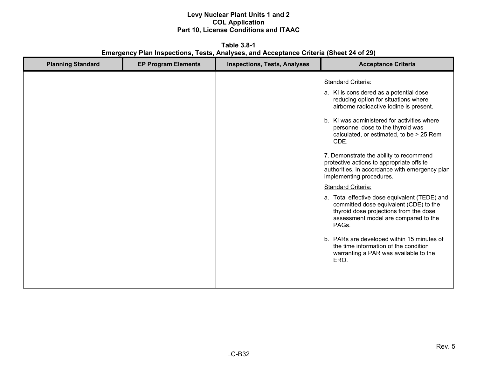**Table 3.8-1 Emergency Plan Inspections, Tests, Analyses, and Acceptance Criteria (Sheet 24 of 29)** 

| <b>Planning Standard</b> | <b>EP Program Elements</b> | <b>Inspections, Tests, Analyses</b> | <b>Acceptance Criteria</b>                                                                                                                                                                                                                                                                                                                                                                                                                                                                                                                                                                                                                                                                                                                                                                                                       |
|--------------------------|----------------------------|-------------------------------------|----------------------------------------------------------------------------------------------------------------------------------------------------------------------------------------------------------------------------------------------------------------------------------------------------------------------------------------------------------------------------------------------------------------------------------------------------------------------------------------------------------------------------------------------------------------------------------------------------------------------------------------------------------------------------------------------------------------------------------------------------------------------------------------------------------------------------------|
|                          |                            |                                     | <b>Standard Criteria:</b><br>a. KI is considered as a potential dose<br>reducing option for situations where<br>airborne radioactive iodine is present.<br>b. KI was administered for activities where<br>personnel dose to the thyroid was<br>calculated, or estimated, to be > 25 Rem<br>CDE.<br>7. Demonstrate the ability to recommend<br>protective actions to appropriate offsite<br>authorities, in accordance with emergency plan<br>implementing procedures.<br><b>Standard Criteria:</b><br>a. Total effective dose equivalent (TEDE) and<br>committed dose equivalent (CDE) to the<br>thyroid dose projections from the dose<br>assessment model are compared to the<br>PAGs.<br>b. PARs are developed within 15 minutes of<br>the time information of the condition<br>warranting a PAR was available to the<br>ERO. |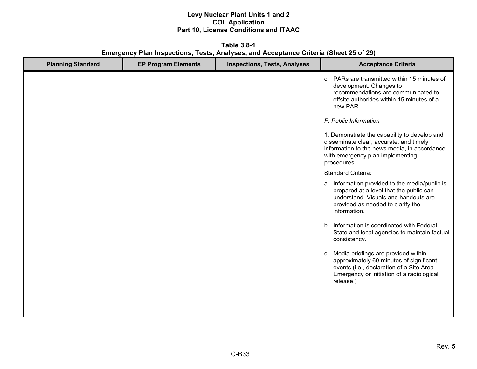**Table 3.8-1 Emergency Plan Inspections, Tests, Analyses, and Acceptance Criteria (Sheet 25 of 29)** 

| <b>Planning Standard</b> | <b>EP Program Elements</b> | <b>Inspections, Tests, Analyses</b> | <b>Acceptance Criteria</b>                                                                                                                                                                 |
|--------------------------|----------------------------|-------------------------------------|--------------------------------------------------------------------------------------------------------------------------------------------------------------------------------------------|
|                          |                            |                                     | c. PARs are transmitted within 15 minutes of<br>development. Changes to<br>recommendations are communicated to<br>offsite authorities within 15 minutes of a<br>new PAR.                   |
|                          |                            |                                     | F. Public Information                                                                                                                                                                      |
|                          |                            |                                     | 1. Demonstrate the capability to develop and<br>disseminate clear, accurate, and timely<br>information to the news media, in accordance<br>with emergency plan implementing<br>procedures. |
|                          |                            |                                     | Standard Criteria:                                                                                                                                                                         |
|                          |                            |                                     | a. Information provided to the media/public is<br>prepared at a level that the public can<br>understand. Visuals and handouts are<br>provided as needed to clarify the<br>information.     |
|                          |                            |                                     | b. Information is coordinated with Federal,<br>State and local agencies to maintain factual<br>consistency.                                                                                |
|                          |                            |                                     | c. Media briefings are provided within<br>approximately 60 minutes of significant<br>events (i.e., declaration of a Site Area<br>Emergency or initiation of a radiological<br>release.)    |
|                          |                            |                                     |                                                                                                                                                                                            |
|                          |                            |                                     |                                                                                                                                                                                            |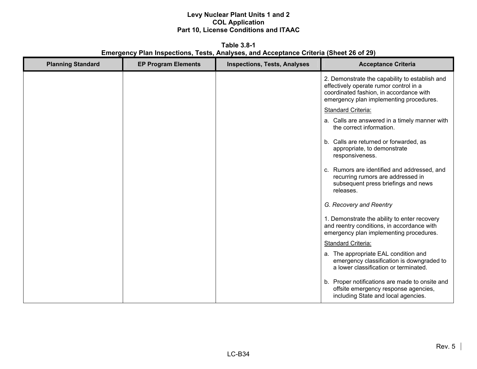**Table 3.8-1 Emergency Plan Inspections, Tests, Analyses, and Acceptance Criteria (Sheet 26 of 29)** 

| <b>Planning Standard</b> | <b>EP Program Elements</b> | <b>Inspections, Tests, Analyses</b> | <b>Acceptance Criteria</b>                                                                                                                                                     |
|--------------------------|----------------------------|-------------------------------------|--------------------------------------------------------------------------------------------------------------------------------------------------------------------------------|
|                          |                            |                                     | 2. Demonstrate the capability to establish and<br>effectively operate rumor control in a<br>coordinated fashion, in accordance with<br>emergency plan implementing procedures. |
|                          |                            |                                     | Standard Criteria:                                                                                                                                                             |
|                          |                            |                                     | a. Calls are answered in a timely manner with<br>the correct information.                                                                                                      |
|                          |                            |                                     | b. Calls are returned or forwarded, as<br>appropriate, to demonstrate<br>responsiveness.                                                                                       |
|                          |                            |                                     | c. Rumors are identified and addressed, and<br>recurring rumors are addressed in<br>subsequent press briefings and news<br>releases.                                           |
|                          |                            |                                     | G. Recovery and Reentry                                                                                                                                                        |
|                          |                            |                                     | 1. Demonstrate the ability to enter recovery<br>and reentry conditions, in accordance with<br>emergency plan implementing procedures.                                          |
|                          |                            |                                     | Standard Criteria:                                                                                                                                                             |
|                          |                            |                                     | a. The appropriate EAL condition and<br>emergency classification is downgraded to<br>a lower classification or terminated.                                                     |
|                          |                            |                                     | b. Proper notifications are made to onsite and<br>offsite emergency response agencies,<br>including State and local agencies.                                                  |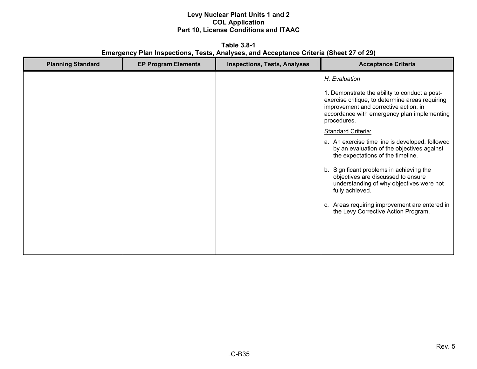**Table 3.8-1 Emergency Plan Inspections, Tests, Analyses, and Acceptance Criteria (Sheet 27 of 29)** 

| <b>Planning Standard</b> | <b>EP Program Elements</b> | <b>Inspections, Tests, Analyses</b> | <b>Acceptance Criteria</b>                                                                                                                                                                                                                                                                                                                                                                                              |
|--------------------------|----------------------------|-------------------------------------|-------------------------------------------------------------------------------------------------------------------------------------------------------------------------------------------------------------------------------------------------------------------------------------------------------------------------------------------------------------------------------------------------------------------------|
|                          |                            |                                     | H. Evaluation<br>1. Demonstrate the ability to conduct a post-<br>exercise critique, to determine areas requiring<br>improvement and corrective action, in<br>accordance with emergency plan implementing                                                                                                                                                                                                               |
|                          |                            |                                     | procedures.<br><b>Standard Criteria:</b><br>a. An exercise time line is developed, followed<br>by an evaluation of the objectives against<br>the expectations of the timeline.<br>b. Significant problems in achieving the<br>objectives are discussed to ensure<br>understanding of why objectives were not<br>fully achieved.<br>c. Areas requiring improvement are entered in<br>the Levy Corrective Action Program. |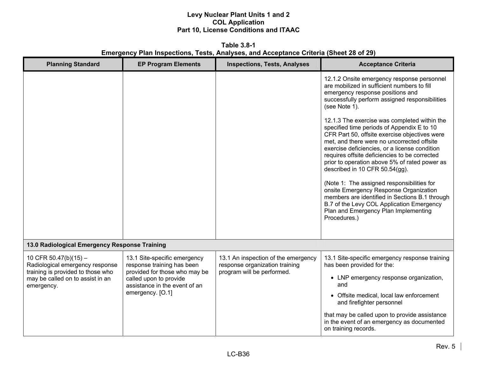**Table 3.8-1 Emergency Plan Inspections, Tests, Analyses, and Acceptance Criteria (Sheet 28 of 29)** 

| <b>Planning Standard</b>                                                                                                                          | <b>EP Program Elements</b>                                                                                                                                                 | <b>Inspections, Tests, Analyses</b>                                                                 | <b>Acceptance Criteria</b>                                                                                                                                                                                                                                                                                                                                                                                                                                                                      |
|---------------------------------------------------------------------------------------------------------------------------------------------------|----------------------------------------------------------------------------------------------------------------------------------------------------------------------------|-----------------------------------------------------------------------------------------------------|-------------------------------------------------------------------------------------------------------------------------------------------------------------------------------------------------------------------------------------------------------------------------------------------------------------------------------------------------------------------------------------------------------------------------------------------------------------------------------------------------|
|                                                                                                                                                   |                                                                                                                                                                            |                                                                                                     | 12.1.2 Onsite emergency response personnel<br>are mobilized in sufficient numbers to fill<br>emergency response positions and<br>successfully perform assigned responsibilities<br>(see Note 1).<br>12.1.3 The exercise was completed within the<br>specified time periods of Appendix E to 10<br>CFR Part 50, offsite exercise objectives were<br>met, and there were no uncorrected offsite<br>exercise deficiencies, or a license condition<br>requires offsite deficiencies to be corrected |
|                                                                                                                                                   |                                                                                                                                                                            |                                                                                                     | prior to operation above 5% of rated power as<br>described in 10 CFR 50.54(gg).<br>(Note 1: The assigned responsibilities for<br>onsite Emergency Response Organization<br>members are identified in Sections B.1 through<br>B.7 of the Levy COL Application Emergency<br>Plan and Emergency Plan Implementing<br>Procedures.)                                                                                                                                                                  |
| 13.0 Radiological Emergency Response Training                                                                                                     |                                                                                                                                                                            |                                                                                                     |                                                                                                                                                                                                                                                                                                                                                                                                                                                                                                 |
| 10 CFR 50.47(b)(15) $-$<br>Radiological emergency response<br>training is provided to those who<br>may be called on to assist in an<br>emergency. | 13.1 Site-specific emergency<br>response training has been<br>provided for those who may be<br>called upon to provide<br>assistance in the event of an<br>emergency. [O.1] | 13.1 An inspection of the emergency<br>response organization training<br>program will be performed. | 13.1 Site-specific emergency response training<br>has been provided for the:<br>• LNP emergency response organization,<br>and<br>• Offsite medical, local law enforcement<br>and firefighter personnel<br>that may be called upon to provide assistance<br>in the event of an emergency as documented<br>on training records.                                                                                                                                                                   |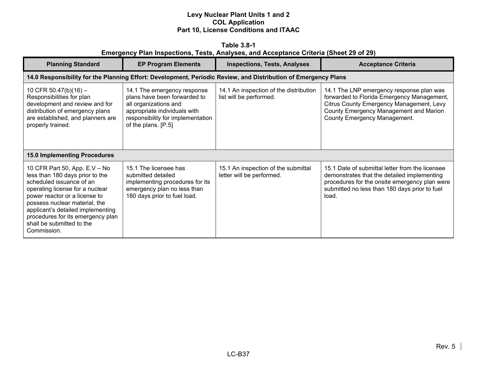| Table 3.8-1                                                                           |  |  |  |  |  |  |  |  |
|---------------------------------------------------------------------------------------|--|--|--|--|--|--|--|--|
| Emergency Plan Inspections, Tests, Analyses, and Acceptance Criteria (Sheet 29 of 29) |  |  |  |  |  |  |  |  |

| <b>Planning Standard</b>                                                                                                                                                                                                                                                                                                | <b>EP Program Elements</b>                                                                                                                                                       | <b>Inspections, Tests, Analyses</b>                                                                            | <b>Acceptance Criteria</b>                                                                                                                                                                                   |
|-------------------------------------------------------------------------------------------------------------------------------------------------------------------------------------------------------------------------------------------------------------------------------------------------------------------------|----------------------------------------------------------------------------------------------------------------------------------------------------------------------------------|----------------------------------------------------------------------------------------------------------------|--------------------------------------------------------------------------------------------------------------------------------------------------------------------------------------------------------------|
|                                                                                                                                                                                                                                                                                                                         |                                                                                                                                                                                  | 14.0 Responsibility for the Planning Effort: Development, Periodic Review, and Distribution of Emergency Plans |                                                                                                                                                                                                              |
| 10 CFR 50.47(b)(16) -<br>Responsibilities for plan<br>development and review and for<br>distribution of emergency plans<br>are established, and planners are<br>properly trained.                                                                                                                                       | 14.1 The emergency response<br>plans have been forwarded to<br>all organizations and<br>appropriate individuals with<br>responsibility for implementation<br>of the plans. [P.5] | 14.1 An inspection of the distribution<br>list will be performed.                                              | 14.1 The LNP emergency response plan was<br>forwarded to Florida Emergency Management,<br>Citrus County Emergency Management, Levy<br>County Emergency Management and Marion<br>County Emergency Management. |
| <b>15.0 Implementing Procedures</b>                                                                                                                                                                                                                                                                                     |                                                                                                                                                                                  |                                                                                                                |                                                                                                                                                                                                              |
| 10 CFR Part 50, App. E.V - No<br>less than 180 days prior to the<br>scheduled issuance of an<br>operating license for a nuclear<br>power reactor or a license to<br>possess nuclear material, the<br>applicant's detailed implementing<br>procedures for its emergency plan<br>shall be submitted to the<br>Commission. | 15.1 The licensee has<br>submitted detailed<br>implementing procedures for its<br>emergency plan no less than<br>180 days prior to fuel load.                                    | 15.1 An inspection of the submittal<br>letter will be performed.                                               | 15.1 Date of submittal letter from the licensee<br>demonstrates that the detailed implementing<br>procedures for the onsite emergency plan were<br>submitted no less than 180 days prior to fuel<br>load.    |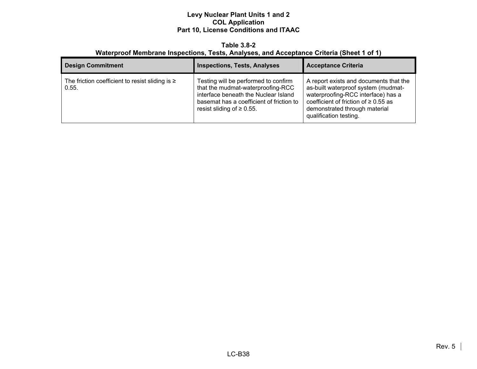#### **Table 3.8-2 Waterproof Membrane Inspections, Tests, Analyses, and Acceptance Criteria (Sheet 1 of 1)**

| <b>Design Commitment</b>                                      | <b>Inspections, Tests, Analyses</b>                                                                                                                                                              | <b>Acceptance Criteria</b>                                                                                                                                                                                                  |
|---------------------------------------------------------------|--------------------------------------------------------------------------------------------------------------------------------------------------------------------------------------------------|-----------------------------------------------------------------------------------------------------------------------------------------------------------------------------------------------------------------------------|
| The friction coefficient to resist sliding is $\geq$<br>0.55. | Testing will be performed to confirm<br>that the mudmat-waterproofing-RCC<br>interface beneath the Nuclear Island<br>basemat has a coefficient of friction to<br>resist sliding of $\geq 0.55$ . | A report exists and documents that the<br>as-built waterproof system (mudmat-<br>waterproofing-RCC interface) has a<br>coefficient of friction of $\geq 0.55$ as<br>demonstrated through material<br>qualification testing. |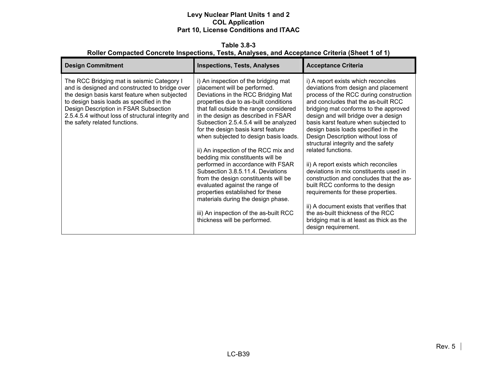**Table 3.8-3 Roller Compacted Concrete Inspections, Tests, Analyses, and Acceptance Criteria (Sheet 1 of 1)** 

| <b>Design Commitment</b>                                                                                                                                                                                                                                                                                                   | <b>Inspections, Tests, Analyses</b>                                                                                                                                                                                                                                                                                                                                                                                                                                                                                                                                                                                                                                                                                                             | <b>Acceptance Criteria</b>                                                                                                                                                                                                                                                                                                                                                                                                                                                                                                                                                                                                                                                                                                                                                                  |
|----------------------------------------------------------------------------------------------------------------------------------------------------------------------------------------------------------------------------------------------------------------------------------------------------------------------------|-------------------------------------------------------------------------------------------------------------------------------------------------------------------------------------------------------------------------------------------------------------------------------------------------------------------------------------------------------------------------------------------------------------------------------------------------------------------------------------------------------------------------------------------------------------------------------------------------------------------------------------------------------------------------------------------------------------------------------------------------|---------------------------------------------------------------------------------------------------------------------------------------------------------------------------------------------------------------------------------------------------------------------------------------------------------------------------------------------------------------------------------------------------------------------------------------------------------------------------------------------------------------------------------------------------------------------------------------------------------------------------------------------------------------------------------------------------------------------------------------------------------------------------------------------|
| The RCC Bridging mat is seismic Category I<br>and is designed and constructed to bridge over<br>the design basis karst feature when subjected<br>to design basis loads as specified in the<br>Design Description in FSAR Subsection<br>2.5.4.5.4 without loss of structural integrity and<br>the safety related functions. | i) An inspection of the bridging mat<br>placement will be performed.<br>Deviations in the RCC Bridging Mat<br>properties due to as-built conditions<br>that fall outside the range considered<br>in the design as described in FSAR<br>Subsection 2.5.4.5.4 will be analyzed<br>for the design basis karst feature<br>when subjected to design basis loads.<br>ii) An inspection of the RCC mix and<br>bedding mix constituents will be<br>performed in accordance with FSAR<br>Subsection 3.8.5.11.4. Deviations<br>from the design constituents will be<br>evaluated against the range of<br>properties established for these<br>materials during the design phase.<br>iii) An inspection of the as-built RCC<br>thickness will be performed. | i) A report exists which reconciles<br>deviations from design and placement<br>process of the RCC during construction<br>and concludes that the as-built RCC<br>bridging mat conforms to the approved<br>design and will bridge over a design<br>basis karst feature when subjected to<br>design basis loads specified in the<br>Design Description without loss of<br>structural integrity and the safety<br>related functions.<br>ii) A report exists which reconciles<br>deviations in mix constituents used in<br>construction and concludes that the as-<br>built RCC conforms to the design<br>requirements for these properties.<br>ii) A document exists that verifies that<br>the as-built thickness of the RCC<br>bridging mat is at least as thick as the<br>design requirement. |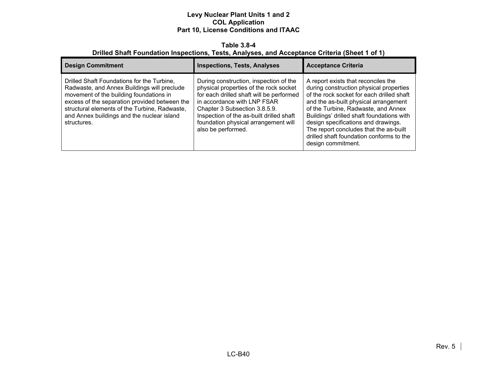#### **Table 3.8-4 Drilled Shaft Foundation Inspections, Tests, Analyses, and Acceptance Criteria (Sheet 1 of 1)**

| <b>Design Commitment</b>                                                                                                                                                                                                                                                                            | <b>Inspections, Tests, Analyses</b>                                                                                                                                                                                                                                                                    | <b>Acceptance Criteria</b>                                                                                                                                                                                                                                                                                                                                                                                  |
|-----------------------------------------------------------------------------------------------------------------------------------------------------------------------------------------------------------------------------------------------------------------------------------------------------|--------------------------------------------------------------------------------------------------------------------------------------------------------------------------------------------------------------------------------------------------------------------------------------------------------|-------------------------------------------------------------------------------------------------------------------------------------------------------------------------------------------------------------------------------------------------------------------------------------------------------------------------------------------------------------------------------------------------------------|
| Drilled Shaft Foundations for the Turbine,<br>Radwaste, and Annex Buildings will preclude<br>movement of the building foundations in<br>excess of the separation provided between the<br>structural elements of the Turbine, Radwaste,<br>and Annex buildings and the nuclear island<br>structures. | During construction, inspection of the<br>physical properties of the rock socket<br>for each drilled shaft will be performed<br>in accordance with LNP FSAR<br>Chapter 3 Subsection 3.8.5.9.<br>Inspection of the as-built drilled shaft<br>foundation physical arrangement will<br>also be performed. | A report exists that reconciles the<br>during construction physical properties<br>of the rock socket for each drilled shaft<br>and the as-built physical arrangement<br>of the Turbine, Radwaste, and Annex<br>Buildings' drilled shaft foundations with<br>design specifications and drawings.<br>The report concludes that the as-built<br>drilled shaft foundation conforms to the<br>design commitment. |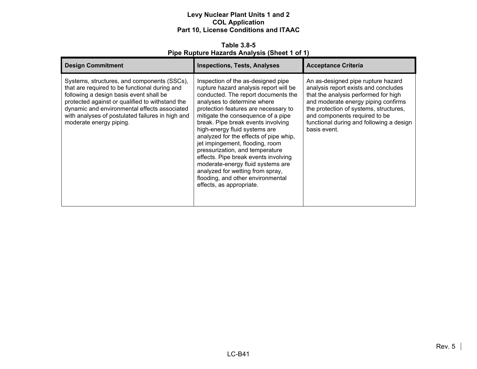**Table 3.8-5 Pipe Rupture Hazards Analysis (Sheet 1 of 1)** 

| <b>Design Commitment</b>                                                                                                                                                                                                                                                                                                  | <b>Inspections, Tests, Analyses</b>                                                                                                                                                                                                                                                                                                                                                                                                                                                                                                                                                                       | <b>Acceptance Criteria</b>                                                                                                                                                                                                                                                                       |
|---------------------------------------------------------------------------------------------------------------------------------------------------------------------------------------------------------------------------------------------------------------------------------------------------------------------------|-----------------------------------------------------------------------------------------------------------------------------------------------------------------------------------------------------------------------------------------------------------------------------------------------------------------------------------------------------------------------------------------------------------------------------------------------------------------------------------------------------------------------------------------------------------------------------------------------------------|--------------------------------------------------------------------------------------------------------------------------------------------------------------------------------------------------------------------------------------------------------------------------------------------------|
| Systems, structures, and components (SSCs),<br>that are required to be functional during and<br>following a design basis event shall be<br>protected against or qualified to withstand the<br>dynamic and environmental effects associated<br>with analyses of postulated failures in high and<br>moderate energy piping. | Inspection of the as-designed pipe<br>rupture hazard analysis report will be<br>conducted. The report documents the<br>analyses to determine where<br>protection features are necessary to<br>mitigate the consequence of a pipe<br>break. Pipe break events involving<br>high-energy fluid systems are<br>analyzed for the effects of pipe whip,<br>jet impingement, flooding, room<br>pressurization, and temperature<br>effects. Pipe break events involving<br>moderate-energy fluid systems are<br>analyzed for wetting from spray,<br>flooding, and other environmental<br>effects, as appropriate. | An as-designed pipe rupture hazard<br>analysis report exists and concludes<br>that the analysis performed for high<br>and moderate energy piping confirms<br>the protection of systems, structures,<br>and components required to be<br>functional during and following a design<br>basis event. |